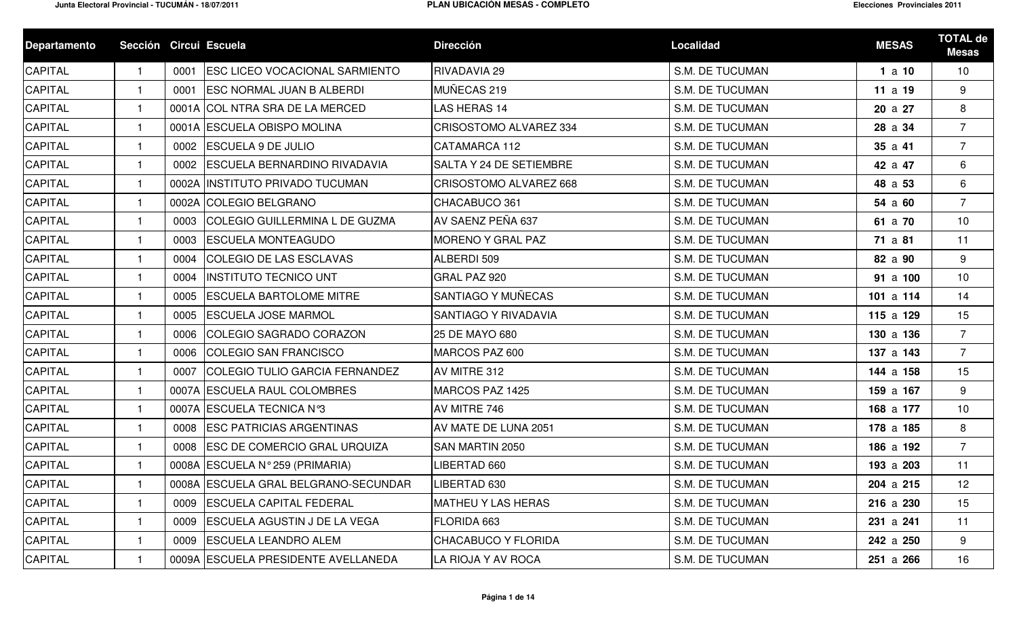| <b>Departamento</b> | Sección Circui Escuela |      |                                       | <b>Dirección</b>               | <b>Localidad</b>       | <b>MESAS</b> | <b>TOTAL de</b><br><b>Mesas</b> |
|---------------------|------------------------|------|---------------------------------------|--------------------------------|------------------------|--------------|---------------------------------|
| CAPITAL             | $\mathbf{1}$           | 0001 | <b>ESC LICEO VOCACIONAL SARMIENTO</b> | <b>RIVADAVIA 29</b>            | <b>S.M. DE TUCUMAN</b> | 1a10         | 10                              |
| <b>CAPITAL</b>      |                        | 0001 | <b>ESC NORMAL JUAN B ALBERDI</b>      | MUÑECAS 219                    | <b>S.M. DE TUCUMAN</b> | 11a19        | 9                               |
| CAPITAL             | $\mathbf{1}$           |      | 0001A COL NTRA SRA DE LA MERCED       | <b>LAS HERAS 14</b>            | <b>S.M. DE TUCUMAN</b> | 20 a 27      | 8                               |
| CAPITAL             | $\mathbf{1}$           |      | 0001A ESCUELA OBISPO MOLINA           | CRISOSTOMO ALVAREZ 334         | <b>S.M. DE TUCUMAN</b> | 28 a 34      | $\overline{7}$                  |
| CAPITAL             | -1                     | 0002 | <b>ESCUELA 9 DE JULIO</b>             | CATAMARCA 112                  | <b>S.M. DE TUCUMAN</b> | 35a41        | $\overline{7}$                  |
| CAPITAL             |                        | 0002 | <b>ESCUELA BERNARDINO RIVADAVIA</b>   | <b>SALTA Y 24 DE SETIEMBRE</b> | <b>S.M. DE TUCUMAN</b> | 42 a 47      | 6                               |
| CAPITAL             |                        |      | 0002A IINSTITUTO PRIVADO TUCUMAN      | <b>CRISOSTOMO ALVAREZ 668</b>  | <b>S.M. DE TUCUMAN</b> | 48 a 53      | 6                               |
| CAPITAL             | $\mathbf{1}$           |      | 0002A COLEGIO BELGRANO                | CHACABUCO 361                  | <b>S.M. DE TUCUMAN</b> | 54 a 60      | $\overline{7}$                  |
| CAPITAL             | -1                     | 0003 | COLEGIO GUILLERMINA L DE GUZMA        | AV SAENZ PEÑA 637              | <b>S.M. DE TUCUMAN</b> | 61 a 70      | 10                              |
| CAPITAL             |                        | 0003 | <b>ESCUELA MONTEAGUDO</b>             | MORENO Y GRAL PAZ              | S.M. DE TUCUMAN        | 71 a 81      | 11                              |
| CAPITAL             |                        | 0004 | COLEGIO DE LAS ESCLAVAS               | ALBERDI 509                    | <b>S.M. DE TUCUMAN</b> | 82 a 90      | 9                               |
| <b>CAPITAL</b>      | 1.                     | 0004 | <b>INSTITUTO TECNICO UNT</b>          | GRAL PAZ 920                   | <b>S.M. DE TUCUMAN</b> | 91 a 100     | 10                              |
| CAPITAL             | $\mathbf{1}$           | 0005 | <b>ESCUELA BARTOLOME MITRE</b>        | SANTIAGO Y MUÑECAS             | <b>S.M. DE TUCUMAN</b> | 101 a $114$  | 14                              |
| CAPITAL             | $\mathbf{1}$           | 0005 | <b>ESCUELA JOSE MARMOL</b>            | SANTIAGO Y RIVADAVIA           | <b>S.M. DE TUCUMAN</b> | 115 a 129    | 15                              |
| CAPITAL             |                        | 0006 | COLEGIO SAGRADO CORAZON               | 25 DE MAYO 680                 | <b>S.M. DE TUCUMAN</b> | 130 a 136    | $\overline{7}$                  |
| CAPITAL             |                        | 0006 | <b>COLEGIO SAN FRANCISCO</b>          | MARCOS PAZ 600                 | <b>S.M. DE TUCUMAN</b> | 137 a 143    | $\overline{7}$                  |
| <b>CAPITAL</b>      |                        | 0007 | COLEGIO TULIO GARCIA FERNANDEZ        | AV MITRE 312                   | <b>S.M. DE TUCUMAN</b> | 144 a 158    | 15                              |
| CAPITAL             | $\mathbf 1$            |      | 0007A ESCUELA RAUL COLOMBRES          | MARCOS PAZ 1425                | <b>S.M. DE TUCUMAN</b> | 159 a 167    | 9                               |
| CAPITAL             | -1                     |      | 0007A ESCUELA TECNICA Nº3             | AV MITRE 746                   | <b>S.M. DE TUCUMAN</b> | 168 a 177    | 10                              |
| CAPITAL             |                        | 0008 | <b>ESC PATRICIAS ARGENTINAS</b>       | AV MATE DE LUNA 2051           | <b>S.M. DE TUCUMAN</b> | 178 a 185    | 8                               |
| CAPITAL             | 1                      | 0008 | <b>ESC DE COMERCIO GRAL URQUIZA</b>   | SAN MARTIN 2050                | <b>S.M. DE TUCUMAN</b> | 186 a 192    | $\overline{7}$                  |
| <b>CAPITAL</b>      |                        |      | 0008A ESCUELA Nº 259 (PRIMARIA)       | LIBERTAD 660                   | <b>S.M. DE TUCUMAN</b> | 193 a 203    | 11                              |
| <b>CAPITAL</b>      | $\mathbf{1}$           |      | 0008A ESCUELA GRAL BELGRANO-SECUNDAR  | LIBERTAD 630                   | S.M. DE TUCUMAN        | 204 a 215    | 12                              |
| CAPITAL             |                        | 0009 | <b>ESCUELA CAPITAL FEDERAL</b>        | <b>MATHEU Y LAS HERAS</b>      | S.M. DE TUCUMAN        | 216 a 230    | 15                              |
| CAPITAL             |                        | 0009 | <b>ESCUELA AGUSTIN J DE LA VEGA</b>   | FLORIDA 663                    | <b>S.M. DE TUCUMAN</b> | 231 a 241    | 11                              |
| <b>CAPITAL</b>      |                        | 0009 | <b>ESCUELA LEANDRO ALEM</b>           | <b>CHACABUCO Y FLORIDA</b>     | S.M. DE TUCUMAN        | 242 a 250    | 9                               |
| <b>CAPITAL</b>      |                        |      | 0009A ESCUELA PRESIDENTE AVELLANEDA   | LA RIOJA Y AV ROCA             | S.M. DE TUCUMAN        | 251 a 266    | 16                              |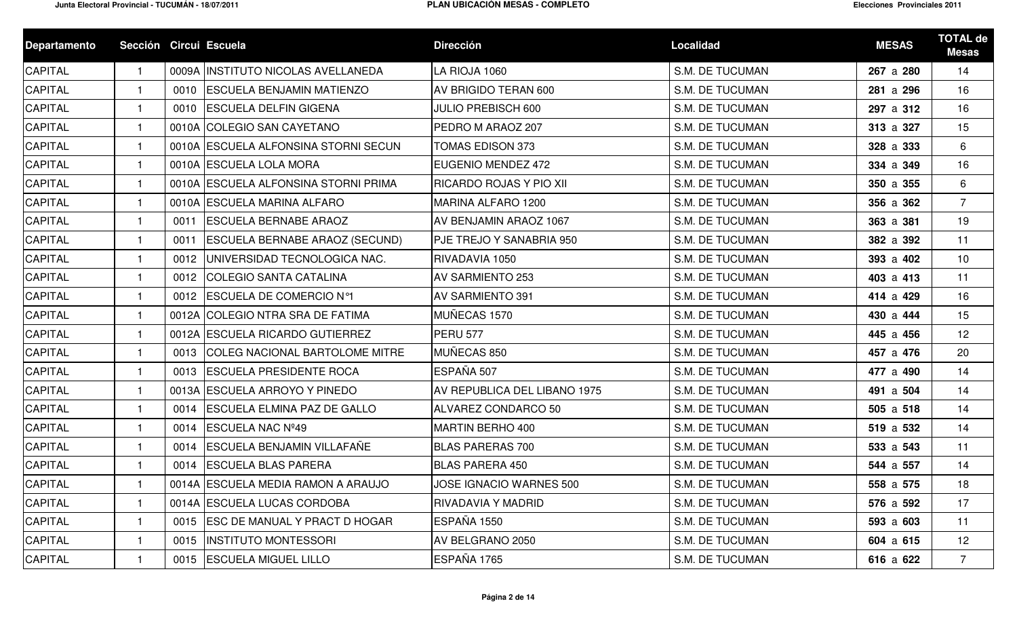| <b>Departamento</b> | Sección Circui Escuela |      |                                       | <b>Dirección</b>             | Localidad              | <b>MESAS</b> | <b>TOTAL de</b><br><b>Mesas</b> |
|---------------------|------------------------|------|---------------------------------------|------------------------------|------------------------|--------------|---------------------------------|
| <b>CAPITAL</b>      | 1                      |      | 0009A INSTITUTO NICOLAS AVELLANEDA    | LA RIOJA 1060                | S.M. DE TUCUMAN        | 267 a 280    | 14                              |
| CAPITAL             |                        | 0010 | <b>ESCUELA BENJAMIN MATIENZO</b>      | AV BRIGIDO TERAN 600         | <b>S.M. DE TUCUMAN</b> | 281 a 296    | 16                              |
| CAPITAL             |                        | 0010 | <b>ESCUELA DELFIN GIGENA</b>          | <b>JULIO PREBISCH 600</b>    | <b>S.M. DE TUCUMAN</b> | 297 a 312    | 16                              |
| <b>CAPITAL</b>      |                        |      | 0010A COLEGIO SAN CAYETANO            | PEDRO M ARAOZ 207            | <b>S.M. DE TUCUMAN</b> | 313 a 327    | 15                              |
| CAPITAL             |                        |      | 0010A ESCUELA ALFONSINA STORNI SECUN  | <b>TOMAS EDISON 373</b>      | <b>S.M. DE TUCUMAN</b> | 328 a 333    | 6                               |
| CAPITAL             |                        |      | 0010A ESCUELA LOLA MORA               | EUGENIO MENDEZ 472           | <b>S.M. DE TUCUMAN</b> | 334 a 349    | 16                              |
| CAPITAL             |                        |      | 0010A ESCUELA ALFONSINA STORNI PRIMA  | RICARDO ROJAS Y PIO XII      | <b>S.M. DE TUCUMAN</b> | 350 a 355    | 6                               |
| CAPITAL             |                        |      | 0010A ESCUELA MARINA ALFARO           | MARINA ALFARO 1200           | <b>S.M. DE TUCUMAN</b> | 356 a 362    | $\overline{7}$                  |
| CAPITAL             |                        | 0011 | <b>ESCUELA BERNABE ARAOZ</b>          | AV BENJAMIN ARAOZ 1067       | <b>S.M. DE TUCUMAN</b> | 363 a 381    | 19                              |
| CAPITAL             | -1                     | 0011 | <b>ESCUELA BERNABE ARAOZ (SECUND)</b> | PJE TREJO Y SANABRIA 950     | <b>S.M. DE TUCUMAN</b> | 382 a 392    | 11                              |
| CAPITAL             | $\mathbf 1$            | 0012 | UNIVERSIDAD TECNOLOGICA NAC.          | RIVADAVIA 1050               | <b>S.M. DE TUCUMAN</b> | 393 a 402    | 10                              |
| CAPITAL             |                        | 0012 | <b>COLEGIO SANTA CATALINA</b>         | <b>AV SARMIENTO 253</b>      | <b>S.M. DE TUCUMAN</b> | 403 a 413    | 11                              |
| CAPITAL             |                        | 0012 | <b>ESCUELA DE COMERCIO Nº1</b>        | <b>AV SARMIENTO 391</b>      | <b>S.M. DE TUCUMAN</b> | 414 a 429    | 16                              |
| CAPITAL             |                        |      | 0012A COLEGIO NTRA SRA DE FATIMA      | MUÑECAS 1570                 | <b>S.M. DE TUCUMAN</b> | 430 a 444    | 15                              |
| CAPITAL             |                        |      | 0012A ESCUELA RICARDO GUTIERREZ       | <b>PERU 577</b>              | S.M. DE TUCUMAN        | 445 a 456    | 12                              |
| CAPITAL             |                        | 0013 | <b>COLEG NACIONAL BARTOLOME MITRE</b> | MUÑECAS 850                  | <b>S.M. DE TUCUMAN</b> | 457 a 476    | 20                              |
| CAPITAL             |                        | 0013 | <b>ESCUELA PRESIDENTE ROCA</b>        | ESPAÑA 507                   | <b>S.M. DE TUCUMAN</b> | 477 a 490    | 14                              |
| CAPITAL             |                        |      | 0013A ESCUELA ARROYO Y PINEDO         | AV REPUBLICA DEL LIBANO 1975 | <b>S.M. DE TUCUMAN</b> | 491 a 504    | 14                              |
| CAPITAL             | -1                     | 0014 | <b>ESCUELA ELMINA PAZ DE GALLO</b>    | ALVAREZ CONDARCO 50          | <b>S.M. DE TUCUMAN</b> | 505 a 518    | 14                              |
| CAPITAL             |                        | 0014 | ESCUELA NAC Nº49                      | MARTIN BERHO 400             | <b>S.M. DE TUCUMAN</b> | 519 a 532    | 14                              |
| CAPITAL             | $\mathbf 1$            | 0014 | ESCUELA BENJAMIN VILLAFAÑE            | <b>BLAS PARERAS 700</b>      | <b>S.M. DE TUCUMAN</b> | 533 a 543    | 11                              |
| CAPITAL             |                        | 0014 | <b>ESCUELA BLAS PARERA</b>            | <b>BLAS PARERA 450</b>       | <b>S.M. DE TUCUMAN</b> | 544 a 557    | 14                              |
| CAPITAL             |                        |      | 0014A ESCUELA MEDIA RAMON A ARAUJO    | JOSE IGNACIO WARNES 500      | S.M. DE TUCUMAN        | 558 a 575    | 18                              |
| CAPITAL             |                        |      | 0014A ESCUELA LUCAS CORDOBA           | RIVADAVIA Y MADRID           | S.M. DE TUCUMAN        | 576 a 592    | 17                              |
| <b>CAPITAL</b>      |                        | 0015 | <b>ESC DE MANUAL Y PRACT D HOGAR</b>  | ESPAÑA 1550                  | S.M. DE TUCUMAN        | 593 a 603    | 11                              |
| <b>CAPITAL</b>      |                        | 0015 | <b>INSTITUTO MONTESSORI</b>           | AV BELGRANO 2050             | S.M. DE TUCUMAN        | 604 a 615    | 12                              |
| CAPITAL             |                        | 0015 | <b>ESCUELA MIGUEL LILLO</b>           | ESPAÑA 1765                  | S.M. DE TUCUMAN        | 616 a 622    | $\overline{7}$                  |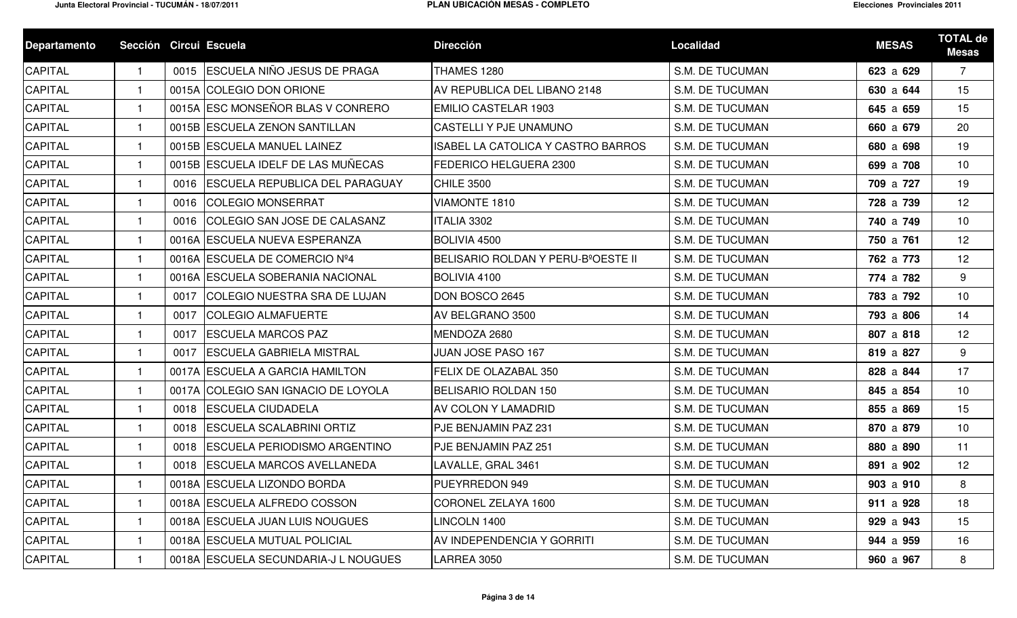| <b>Departamento</b> | Sección Circui Escuela |      |                                       | <b>Dirección</b>                                | Localidad              | <b>MESAS</b> | <b>TOTAL de</b><br><b>Mesas</b> |
|---------------------|------------------------|------|---------------------------------------|-------------------------------------------------|------------------------|--------------|---------------------------------|
| <b>CAPITAL</b>      | -1                     | 0015 | <b>ESCUELA NIÑO JESUS DE PRAGA</b>    | <b>THAMES 1280</b>                              | <b>S.M. DE TUCUMAN</b> | 623 a 629    | $\overline{7}$                  |
| CAPITAL             | $\mathbf{1}$           |      | 0015A COLEGIO DON ORIONE              | AV REPUBLICA DEL LIBANO 2148                    | <b>S.M. DE TUCUMAN</b> | 630 a 644    | 15                              |
| CAPITAL             |                        |      | 0015A ESC MONSEÑOR BLAS V CONRERO     | <b>EMILIO CASTELAR 1903</b>                     | <b>S.M. DE TUCUMAN</b> | 645 a 659    | 15                              |
| CAPITAL             |                        |      | 0015B ESCUELA ZENON SANTILLAN         | <b>CASTELLI Y PJE UNAMUNO</b>                   | <b>S.M. DE TUCUMAN</b> | 660 a 679    | 20                              |
| CAPITAL             |                        |      | 0015B ESCUELA MANUEL LAINEZ           | <b>ISABEL LA CATOLICA Y CASTRO BARROS</b>       | <b>S.M. DE TUCUMAN</b> | 680 a 698    | 19                              |
| <b>CAPITAL</b>      |                        |      | 0015B ESCUELA IDELF DE LAS MUÑECAS    | FEDERICO HELGUERA 2300                          | <b>S.M. DE TUCUMAN</b> | 699 a 708    | 10                              |
| CAPITAL             |                        | 0016 | <b>ESCUELA REPUBLICA DEL PARAGUAY</b> | <b>CHILE 3500</b>                               | <b>S.M. DE TUCUMAN</b> | 709 a 727    | 19                              |
| CAPITAL             |                        | 0016 | <b>COLEGIO MONSERRAT</b>              | VIAMONTE 1810                                   | <b>S.M. DE TUCUMAN</b> | 728 a 739    | 12                              |
| CAPITAL             |                        | 0016 | COLEGIO SAN JOSE DE CALASANZ          | ITALIA 3302                                     | <b>S.M. DE TUCUMAN</b> | 740 a 749    | 10                              |
| CAPITAL             | -1                     |      | 0016A ESCUELA NUEVA ESPERANZA         | <b>BOLIVIA 4500</b>                             | <b>S.M. DE TUCUMAN</b> | 750 a 761    | 12                              |
| CAPITAL             |                        |      | 0016A ESCUELA DE COMERCIO Nº4         | BELISARIO ROLDAN Y PERU-B <sup>°</sup> OESTE II | <b>S.M. DE TUCUMAN</b> | 762 a 773    | 12                              |
| CAPITAL             | $\mathbf{1}$           |      | 0016A ESCUELA SOBERANIA NACIONAL      | BOLIVIA 4100                                    | <b>S.M. DE TUCUMAN</b> | 774 a 782    | 9                               |
| CAPITAL             |                        | 0017 | <b>COLEGIO NUESTRA SRA DE LUJAN</b>   | DON BOSCO 2645                                  | <b>S.M. DE TUCUMAN</b> | 783 a 792    | 10                              |
| CAPITAL             |                        | 0017 | <b>COLEGIO ALMAFUERTE</b>             | AV BELGRANO 3500                                | <b>S.M. DE TUCUMAN</b> | 793 a 806    | 14                              |
| <b>CAPITAL</b>      |                        | 0017 | <b>ESCUELA MARCOS PAZ</b>             | MENDOZA 2680                                    | <b>S.M. DE TUCUMAN</b> | 807 a 818    | 12                              |
| CAPITAL             |                        | 0017 | <b>ESCUELA GABRIELA MISTRAL</b>       | JUAN JOSE PASO 167                              | S.M. DE TUCUMAN        | 819 a 827    | 9                               |
| CAPITAL             |                        |      | 0017A ESCUELA A GARCIA HAMILTON       | FELIX DE OLAZABAL 350                           | <b>S.M. DE TUCUMAN</b> | 828 a 844    | 17                              |
| CAPITAL             |                        |      | 0017A COLEGIO SAN IGNACIO DE LOYOLA   | <b>BELISARIO ROLDAN 150</b>                     | <b>S.M. DE TUCUMAN</b> | 845 a 854    | 10                              |
| CAPITAL             | -1                     | 0018 | <b>IESCUELA CIUDADELA</b>             | <b>AV COLON Y LAMADRID</b>                      | S.M. DE TUCUMAN        | 855 a 869    | 15                              |
| <b>CAPITAL</b>      |                        | 0018 | <b>ESCUELA SCALABRINI ORTIZ</b>       | PJE BENJAMIN PAZ 231                            | <b>S.M. DE TUCUMAN</b> | 870 a 879    | 10                              |
| CAPITAL             | $\mathbf{1}$           | 0018 | <b>ESCUELA PERIODISMO ARGENTINO</b>   | PJE BENJAMIN PAZ 251                            | <b>S.M. DE TUCUMAN</b> | 880 a 890    | 11                              |
| CAPITAL             |                        | 0018 | <b>ESCUELA MARCOS AVELLANEDA</b>      | LAVALLE, GRAL 3461                              | <b>S.M. DE TUCUMAN</b> | 891 a 902    | 12                              |
| <b>CAPITAL</b>      |                        |      | 0018A ESCUELA LIZONDO BORDA           | PUEYRREDON 949                                  | S.M. DE TUCUMAN        | 903 a 910    | 8                               |
| <b>CAPITAL</b>      |                        |      | 0018A ESCUELA ALFREDO COSSON          | CORONEL ZELAYA 1600                             | S.M. DE TUCUMAN        | 911 a 928    | 18                              |
| <b>CAPITAL</b>      |                        |      | 0018A ESCUELA JUAN LUIS NOUGUES       | LINCOLN 1400                                    | S.M. DE TUCUMAN        | 929 a 943    | 15                              |
| <b>CAPITAL</b>      |                        |      | 0018A ESCUELA MUTUAL POLICIAL         | AV INDEPENDENCIA Y GORRITI                      | S.M. DE TUCUMAN        | 944 a 959    | 16                              |
| <b>CAPITAL</b>      |                        |      | 0018A ESCUELA SECUNDARIA-J L NOUGUES  | LARREA 3050                                     | S.M. DE TUCUMAN        | 960 a 967    | 8                               |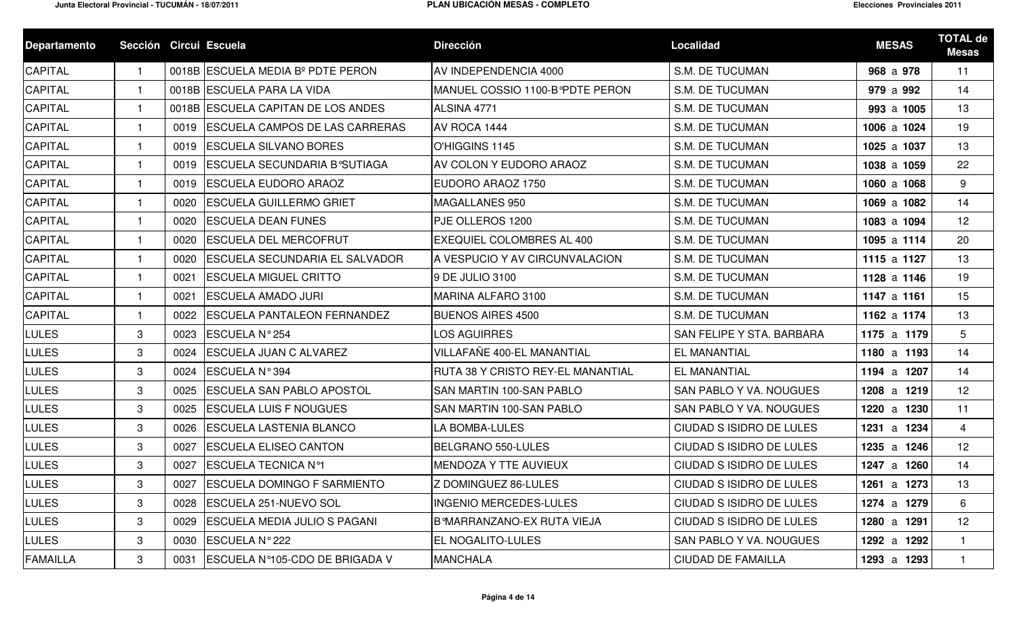| <b>Departamento</b> | Sección Circui Escuela |      |                                       | <b>Dirección</b>                         | <b>Localidad</b>                | <b>MESAS</b> | <b>TOTAL de</b><br><b>Mesas</b> |
|---------------------|------------------------|------|---------------------------------------|------------------------------------------|---------------------------------|--------------|---------------------------------|
| <b>CAPITAL</b>      |                        |      | 0018B ESCUELA MEDIA Bº PDTE PERON     | AV INDEPENDENCIA 4000                    | <b>S.M. DE TUCUMAN</b>          | 968 a 978    | 11                              |
| <b>CAPITAL</b>      |                        |      | 0018B ESCUELA PARA LA VIDA            | MANUEL COSSIO 1100-B PDTE PERON          | <b>S.M. DE TUCUMAN</b>          | 979 a 992    | 14                              |
| CAPITAL             |                        |      | 0018B ESCUELA CAPITAN DE LOS ANDES    | ALSINA 4771                              | S.M. DE TUCUMAN                 | 993 a 1005   | 13                              |
| CAPITAL             |                        | 0019 | <b>ESCUELA CAMPOS DE LAS CARRERAS</b> | AV ROCA 1444                             | <b>S.M. DE TUCUMAN</b>          | 1006 a 1024  | 19                              |
| CAPITAL             |                        | 0019 | <b>ESCUELA SILVANO BORES</b>          | O'HIGGINS 1145                           | <b>S.M. DE TUCUMAN</b>          | 1025 a 1037  | 13                              |
| <b>CAPITAL</b>      | -1                     | 0019 | <b>ESCUELA SECUNDARIA B°SUTIAGA</b>   | AV COLON Y EUDORO ARAOZ                  | <b>S.M. DE TUCUMAN</b>          | 1038 a 1059  | 22                              |
| CAPITAL             |                        | 0019 | <b>ESCUELA EUDORO ARAOZ</b>           | EUDORO ARAOZ 1750                        | <b>S.M. DE TUCUMAN</b>          | 1060 a 1068  | 9                               |
| CAPITAL             | -1                     | 0020 | <b>ESCUELA GUILLERMO GRIET</b>        | <b>MAGALLANES 950</b>                    | <b>S.M. DE TUCUMAN</b>          | 1069 a 1082  | 14                              |
| CAPITAL             | -1                     | 0020 | <b>ESCUELA DEAN FUNES</b>             | PJE OLLEROS 1200                         | <b>S.M. DE TUCUMAN</b>          | 1083 a 1094  | 12                              |
| CAPITAL             | $\mathbf{1}$           | 0020 | <b>ESCUELA DEL MERCOFRUT</b>          | <b>EXEQUIEL COLOMBRES AL 400</b>         | <b>S.M. DE TUCUMAN</b>          | 1095 a 1114  | 20                              |
| <b>CAPITAL</b>      | -1                     | 0020 | <b>ESCUELA SECUNDARIA EL SALVADOR</b> | A VESPUCIO Y AV CIRCUNVALACION           | <b>S.M. DE TUCUMAN</b>          | 1115 a 1127  | 13                              |
| CAPITAL             |                        | 0021 | <b>ESCUELA MIGUEL CRITTO</b>          | 9 DE JULIO 3100                          | <b>S.M. DE TUCUMAN</b>          | 1128 a 1146  | 19                              |
| <b>CAPITAL</b>      |                        | 0021 | <b>ESCUELA AMADO JURI</b>             | MARINA ALFARO 3100                       | <b>S.M. DE TUCUMAN</b>          | 1147 a 1161  | 15                              |
| CAPITAL             |                        | 0022 | <b>ESCUELA PANTALEON FERNANDEZ</b>    | <b>BUENOS AIRES 4500</b>                 | <b>S.M. DE TUCUMAN</b>          | 1162 a 1174  | 13                              |
| <b>LULES</b>        | 3                      | 0023 | ESCUELA Nº 254                        | <b>LOS AGUIRRES</b>                      | SAN FELIPE Y STA. BARBARA       | 1175 a 1179  | $5\phantom{.0}$                 |
| LULES               | 3                      | 0024 | <b>ESCUELA JUAN C ALVAREZ</b>         | VILLAFAÑE 400-EL MANANTIAL               | <b>EL MANANTIAL</b>             | 1180 a 1193  | 14                              |
| LULES               | 3                      | 0024 | ESCUELA N°394                         | <b>RUTA 38 Y CRISTO REY-EL MANANTIAL</b> | <b>EL MANANTIAL</b>             | 1194 a 1207  | 14                              |
| LULES               | 3                      | 0025 | <b>ESCUELA SAN PABLO APOSTOL</b>      | <b>SAN MARTIN 100-SAN PABLO</b>          | SAN PABLO Y VA. NOUGUES         | 1208 a 1219  | 12                              |
| LULES               | 3                      | 0025 | <b>ESCUELA LUIS F NOUGUES</b>         | <b>SAN MARTIN 100-SAN PABLO</b>          | SAN PABLO Y VA. NOUGUES         | 1220 a 1230  | 11                              |
| <b>LULES</b>        | 3                      | 0026 | <b>ESCUELA LASTENIA BLANCO</b>        | LA BOMBA-LULES                           | <b>CIUDAD S ISIDRO DE LULES</b> | 1231 a 1234  | $\overline{4}$                  |
| <b>LULES</b>        | 3                      | 0027 | <b>ESCUELA ELISEO CANTON</b>          | <b>BELGRANO 550-LULES</b>                | <b>CIUDAD S ISIDRO DE LULES</b> | 1235 a 1246  | 12                              |
| <b>LULES</b>        | 3                      | 0027 | <b>ESCUELA TECNICA Nº1</b>            | MENDOZA Y TTE AUVIEUX                    | CIUDAD S ISIDRO DE LULES        | 1247 a 1260  | 14                              |
| <b>LULES</b>        | 3                      |      | 0027 ESCUELA DOMINGO F SARMIENTO      | Z DOMINGUEZ 86-LULES                     | CIUDAD S ISIDRO DE LULES        | 1261 a 1273  | 13                              |
| LULES               | 3                      | 0028 | ESCUELA 251-NUEVO SOL                 | <b>INGENIO MERCEDES-LULES</b>            | CIUDAD S ISIDRO DE LULES        | 1274 a 1279  | 6                               |
| LULES               | 3                      | 0029 | <b>ESCUELA MEDIA JULIO S PAGANI</b>   | B°MARRANZANO-EX RUTA VIEJA               | CIUDAD S ISIDRO DE LULES        | 1280 a 1291  | 12 <sub>2</sub>                 |
| LULES               | 3                      | 0030 | ESCUELA N° 222                        | EL NOGALITO-LULES                        | SAN PABLO Y VA. NOUGUES         | 1292 a 1292  |                                 |
| <b>FAMAILLA</b>     | 3                      | 0031 | ESCUELA N°105-CDO DE BRIGADA V        | <b>MANCHALA</b>                          | <b>CIUDAD DE FAMAILLA</b>       | 1293 a 1293  | $\mathbf{1}$                    |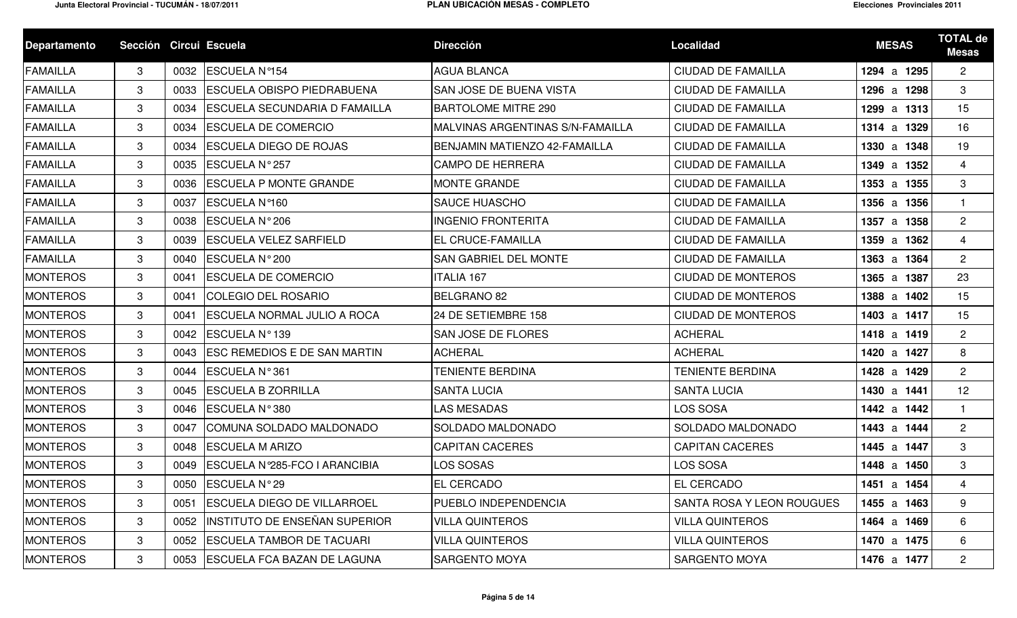| <b>Departamento</b> | Sección Circui Escuela |      |                                     | <b>Dirección</b>                         | Localidad                 | <b>MESAS</b> | <b>TOTAL de</b><br><b>Mesas</b> |
|---------------------|------------------------|------|-------------------------------------|------------------------------------------|---------------------------|--------------|---------------------------------|
| <b>FAMAILLA</b>     | 3                      | 0032 | <b>ESCUELA Nº154</b>                | <b>AGUA BLANCA</b>                       | <b>CIUDAD DE FAMAILLA</b> | 1294 a 1295  | $\overline{2}$                  |
| <b>FAMAILLA</b>     | 3                      | 0033 | <b>IESCUELA OBISPO PIEDRABUENA</b>  | <b>SAN JOSE DE BUENA VISTA</b>           | <b>CIUDAD DE FAMAILLA</b> | 1296 a 1298  | 3                               |
| <b>FAMAILLA</b>     | 3                      | 0034 | ESCUELA SECUNDARIA D FAMAILLA       | <b>BARTOLOME MITRE 290</b>               | <b>CIUDAD DE FAMAILLA</b> | 1299 a 1313  | 15                              |
| <b>FAMAILLA</b>     | 3                      | 0034 | <b>IESCUELA DE COMERCIO</b>         | <b>IMALVINAS ARGENTINAS S/N-FAMAILLA</b> | <b>CIUDAD DE FAMAILLA</b> | 1314 a 1329  | 16                              |
| <b>FAMAILLA</b>     | 3                      | 0034 | <b>ESCUELA DIEGO DE ROJAS</b>       | <b>BENJAMIN MATIENZO 42-FAMAILLA</b>     | <b>CIUDAD DE FAMAILLA</b> | 1330 a 1348  | 19                              |
| <b>FAMAILLA</b>     | 3                      | 0035 | <b>ESCUELA N°257</b>                | <b>ICAMPO DE HERRERA</b>                 | <b>CIUDAD DE FAMAILLA</b> | 1349 a 1352  | $\overline{4}$                  |
| <b>FAMAILLA</b>     | 3                      | 0036 | <b>ESCUELA P MONTE GRANDE</b>       | <b>MONTE GRANDE</b>                      | <b>CIUDAD DE FAMAILLA</b> | 1353 a 1355  | 3                               |
| <b>FAMAILLA</b>     | 3                      | 0037 | <b>ESCUELA Nº160</b>                | <b>SAUCE HUASCHO</b>                     | <b>CIUDAD DE FAMAILLA</b> | 1356 a 1356  | $\mathbf{1}$                    |
| <b>FAMAILLA</b>     | 3                      | 0038 | <b>ESCUELA N°206</b>                | <b>INGENIO FRONTERITA</b>                | <b>CIUDAD DE FAMAILLA</b> | 1357 a 1358  | $\overline{2}$                  |
| <b>FAMAILLA</b>     | 3                      | 0039 | <b>IESCUELA VELEZ SARFIELD</b>      | <b>EL CRUCE-FAMAILLA</b>                 | <b>CIUDAD DE FAMAILLA</b> | 1359 a 1362  | 4                               |
| <b>FAMAILLA</b>     | 3                      | 0040 | ESCUELA N°200                       | <b>SAN GABRIEL DEL MONTE</b>             | <b>CIUDAD DE FAMAILLA</b> | 1363 a 1364  | $\overline{2}$                  |
| <b>MONTEROS</b>     | 3                      | 0041 | <b>ESCUELA DE COMERCIO</b>          | <b>ITALIA 167</b>                        | <b>CIUDAD DE MONTEROS</b> | 1365 a 1387  | 23                              |
| <b>MONTEROS</b>     | 3                      | 0041 | <b>COLEGIO DEL ROSARIO</b>          | <b>BELGRANO 82</b>                       | <b>CIUDAD DE MONTEROS</b> | 1388 a 1402  | 15                              |
| <b>MONTEROS</b>     | 3                      | 0041 | <b>ESCUELA NORMAL JULIO A ROCA</b>  | 24 DE SETIEMBRE 158                      | <b>CIUDAD DE MONTEROS</b> | 1403 a 1417  | 15                              |
| <b>MONTEROS</b>     | 3                      | 0042 | <b>IESCUELA N°139</b>               | <b>SAN JOSE DE FLORES</b>                | <b>ACHERAL</b>            | 1418 a 1419  | $\mathbf{2}$                    |
| <b>MONTEROS</b>     | 3                      | 0043 | <b>ESC REMEDIOS E DE SAN MARTIN</b> | <b>ACHERAL</b>                           | <b>ACHERAL</b>            | 1420 a 1427  | 8                               |
| <b>MONTEROS</b>     | 3                      | 0044 | <b>IESCUELA N°361</b>               | <b>TENIENTE BERDINA</b>                  | <b>TENIENTE BERDINA</b>   | 1428 a 1429  | $\overline{2}$                  |
| <b>MONTEROS</b>     | 3                      | 0045 | <b>ESCUELA B ZORRILLA</b>           | <b>SANTA LUCIA</b>                       | <b>SANTA LUCIA</b>        | 1430 a 1441  | 12                              |
| <b>MONTEROS</b>     | 3                      | 0046 | <b>ESCUELA N°380</b>                | <b>LAS MESADAS</b>                       | LOS SOSA                  | 1442 a 1442  | $\mathbf{1}$                    |
| <b>MONTEROS</b>     | 3                      | 0047 | COMUNA SOLDADO MALDONADO            | SOLDADO MALDONADO                        | SOLDADO MALDONADO         | 1443 a 1444  | $\overline{2}$                  |
| <b>MONTEROS</b>     | 3                      | 0048 | <b>ESCUELA M ARIZO</b>              | <b>CAPITAN CACERES</b>                   | <b>CAPITAN CACERES</b>    | 1445 a 1447  | 3                               |
| <b>MONTEROS</b>     | 3                      | 0049 | ESCUELA Nº285-FCO I ARANCIBIA       | LOS SOSAS                                | LOS SOSA                  | 1448 a 1450  | 3                               |
| <b>MONTEROS</b>     | 3 <sup>1</sup>         |      | 0050 ESCUELA N°29                   | <b>EL CERCADO</b>                        | EL CERCADO                | 1451 a 1454  |                                 |
| <b>MONTEROS</b>     | 3                      | 0051 | <b>ESCUELA DIEGO DE VILLARROEL</b>  | <b>PUEBLO INDEPENDENCIA</b>              | SANTA ROSA Y LEON ROUGUES | 1455 a 1463  | 9                               |
| <b>MONTEROS</b>     | 3                      | 0052 | INSTITUTO DE ENSEÑAN SUPERIOR       | VILLA QUINTEROS                          | <b>VILLA QUINTEROS</b>    | 1464 a 1469  | 6                               |
| <b>MONTEROS</b>     | 3                      | 0052 | <b>ESCUELA TAMBOR DE TACUARI</b>    | <b>VILLA QUINTEROS</b>                   | <b>VILLA QUINTEROS</b>    | 1470 a 1475  | 6                               |
| <b>MONTEROS</b>     | 3                      | 0053 | <b>ESCUELA FCA BAZAN DE LAGUNA</b>  | <b>SARGENTO MOYA</b>                     | SARGENTO MOYA             | 1476 a 1477  | $\overline{2}$                  |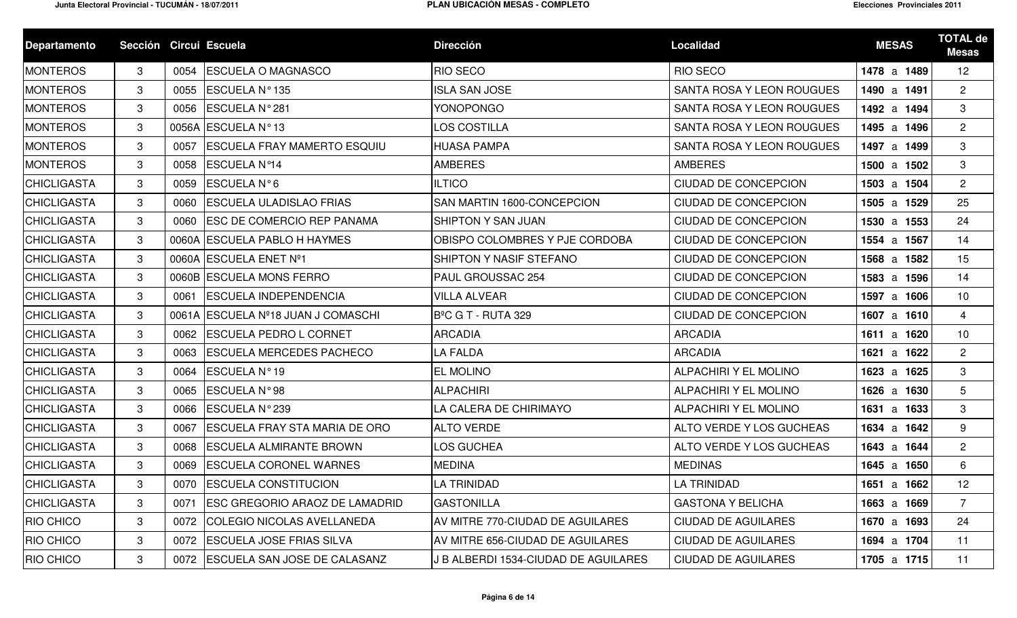| <b>Departamento</b> | Sección Circui Escuela |      |                                       | <b>Dirección</b>                     | <b>Localidad</b>            | <b>MESAS</b> | <b>TOTAL de</b><br><b>Mesas</b> |
|---------------------|------------------------|------|---------------------------------------|--------------------------------------|-----------------------------|--------------|---------------------------------|
| <b>MONTEROS</b>     | 3                      | 0054 | <b>ESCUELA O MAGNASCO</b>             | <b>RIO SECO</b>                      | <b>RIO SECO</b>             | 1478 a 1489  | 12                              |
| <b>MONTEROS</b>     | 3                      | 0055 | ESCUELA Nº 135                        | <b>ISLA SAN JOSE</b>                 | SANTA ROSA Y LEON ROUGUES   | 1490 a 1491  | $\mathbf{2}^{\circ}$            |
| <b>MONTEROS</b>     | 3                      | 0056 | ESCUELA N°281                         | <b>YONOPONGO</b>                     | SANTA ROSA Y LEON ROUGUES   | 1492 a 1494  | 3                               |
| <b>MONTEROS</b>     | 3                      |      | 0056A ESCUELA N°13                    | LOS COSTILLA                         | SANTA ROSA Y LEON ROUGUES   | 1495 a 1496  | $\overline{2}$                  |
| <b>MONTEROS</b>     | 3                      | 0057 | <b>ESCUELA FRAY MAMERTO ESQUIU</b>    | <b>HUASA PAMPA</b>                   | SANTA ROSA Y LEON ROUGUES   | 1497 a 1499  | 3                               |
| <b>MONTEROS</b>     | 3                      | 0058 | <b>ESCUELA Nº14</b>                   | <b>AMBERES</b>                       | <b>AMBERES</b>              | 1500 a 1502  | 3                               |
| <b>CHICLIGASTA</b>  | 3                      | 0059 | ESCUELA N°6                           | <b>ILTICO</b>                        | CIUDAD DE CONCEPCION        | 1503 a 1504  | $\overline{2}$                  |
| <b>CHICLIGASTA</b>  | 3                      | 0060 | <b>ESCUELA ULADISLAO FRIAS</b>        | SAN MARTIN 1600-CONCEPCION           | <b>CIUDAD DE CONCEPCION</b> | 1505 a 1529  | 25                              |
| <b>CHICLIGASTA</b>  | 3                      | 0060 | <b>ESC DE COMERCIO REP PANAMA</b>     | SHIPTON Y SAN JUAN                   | <b>CIUDAD DE CONCEPCION</b> | 1530 a 1553  | 24                              |
| <b>CHICLIGASTA</b>  | 3                      |      | 0060A ESCUELA PABLO H HAYMES          | OBISPO COLOMBRES Y PJE CORDOBA       | <b>CIUDAD DE CONCEPCION</b> | 1554 a 1567  | 14                              |
| <b>CHICLIGASTA</b>  | 3                      |      | 0060A ESCUELA ENET Nº1                | SHIPTON Y NASIF STEFANO              | <b>CIUDAD DE CONCEPCION</b> | 1568 a 1582  | 15                              |
| <b>CHICLIGASTA</b>  | 3                      |      | 0060B ESCUELA MONS FERRO              | PAUL GROUSSAC 254                    | <b>CIUDAD DE CONCEPCION</b> | 1583 a 1596  | 14                              |
| <b>CHICLIGASTA</b>  | 3                      | 0061 | <b>ESCUELA INDEPENDENCIA</b>          | <b>VILLA ALVEAR</b>                  | <b>CIUDAD DE CONCEPCION</b> | 1597 a 1606  | 10                              |
| <b>CHICLIGASTA</b>  | 3                      |      | 0061A ESCUELA Nº18 JUAN J COMASCHI    | B <sup>o</sup> C G T - RUTA 329      | CIUDAD DE CONCEPCION        | 1607 a 1610  | $\overline{4}$                  |
| <b>CHICLIGASTA</b>  | 3                      |      | 0062 ESCUELA PEDRO L CORNET           | <b>ARCADIA</b>                       | <b>ARCADIA</b>              | 1611 a 1620  | 10                              |
| <b>CHICLIGASTA</b>  | 3                      | 0063 | <b>ESCUELA MERCEDES PACHECO</b>       | LA FALDA                             | <b>ARCADIA</b>              | 1621 a 1622  | $\overline{2}$                  |
| <b>CHICLIGASTA</b>  | 3                      | 0064 | ESCUELA Nº19                          | <b>EL MOLINO</b>                     | ALPACHIRI Y EL MOLINO       | 1623 a 1625  | 3                               |
| <b>CHICLIGASTA</b>  | 3                      | 0065 | ESCUELA N°98                          | <b>ALPACHIRI</b>                     | ALPACHIRI Y EL MOLINO       | 1626 a 1630  | $5\overline{)}$                 |
| <b>CHICLIGASTA</b>  | 3                      | 0066 | ESCUELA N°239                         | LA CALERA DE CHIRIMAYO               | ALPACHIRI Y EL MOLINO       | 1631 a 1633  | 3                               |
| <b>CHICLIGASTA</b>  | 3                      | 0067 | <b>ESCUELA FRAY STA MARIA DE ORO</b>  | <b>ALTO VERDE</b>                    | ALTO VERDE Y LOS GUCHEAS    | 1634 a 1642  | 9                               |
| <b>CHICLIGASTA</b>  | 3                      | 0068 | <b>ESCUELA ALMIRANTE BROWN</b>        | LOS GUCHEA                           | ALTO VERDE Y LOS GUCHEAS    | 1643 a 1644  | $\overline{2}$                  |
| <b>CHICLIGASTA</b>  | $\mathcal{S}$          | 0069 | <b>ESCUELA CORONEL WARNES</b>         | <b>MEDINA</b>                        | <b>MEDINAS</b>              | 1645 a 1650  | 6                               |
| <b>CHICLIGASTA</b>  | 3                      |      | 0070 ESCUELA CONSTITUCION             | LA TRINIDAD                          | LA TRINIDAD                 | 1651 a 1662  | 12                              |
| <b>CHICLIGASTA</b>  | 3                      | 0071 | <b>ESC GREGORIO ARAOZ DE LAMADRID</b> | <b>GASTONILLA</b>                    | <b>GASTONA Y BELICHA</b>    | 1663 a 1669  | $\overline{7}$                  |
| <b>RIO CHICO</b>    | 3                      | 0072 | <b>COLEGIO NICOLAS AVELLANEDA</b>     | AV MITRE 770-CIUDAD DE AGUILARES     | <b>CIUDAD DE AGUILARES</b>  | 1670 a 1693  | 24                              |
| <b>RIO CHICO</b>    | 3                      | 0072 | <b>ESCUELA JOSE FRIAS SILVA</b>       | AV MITRE 656-CIUDAD DE AGUILARES     | <b>CIUDAD DE AGUILARES</b>  | 1694 a 1704  | 11                              |
| <b>RIO CHICO</b>    | $\mathbf{3}$           |      | 0072   ESCUELA SAN JOSE DE CALASANZ   | J B ALBERDI 1534-CIUDAD DE AGUILARES | <b>CIUDAD DE AGUILARES</b>  | 1705 a 1715  | 11                              |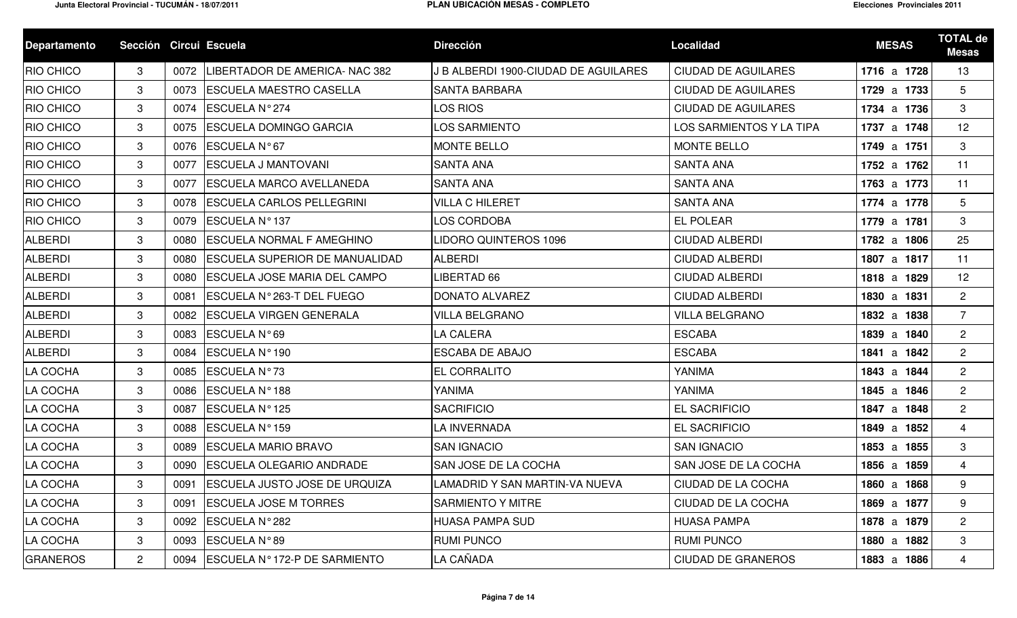| <b>Departamento</b> | Sección Circui Escuela |      |                                       | <b>Dirección</b>                     | <b>Localidad</b>           | <b>MESAS</b> | <b>TOTAL de</b><br><b>Mesas</b> |
|---------------------|------------------------|------|---------------------------------------|--------------------------------------|----------------------------|--------------|---------------------------------|
| <b>RIO CHICO</b>    | 3                      | 0072 | LIBERTADOR DE AMERICA- NAC 382        | J B ALBERDI 1900-CIUDAD DE AGUILARES | <b>CIUDAD DE AGUILARES</b> | 1716 a 1728  | 13                              |
| <b>RIO CHICO</b>    | 3                      | 0073 | <b>IESCUELA MAESTRO CASELLA</b>       | <b>SANTA BARBARA</b>                 | <b>CIUDAD DE AGUILARES</b> | 1729 a 1733  | 5                               |
| <b>RIO CHICO</b>    | 3                      | 0074 | ESCUELA N°274                         | LOS RIOS                             | <b>CIUDAD DE AGUILARES</b> | 1734 a 1736  | 3                               |
| <b>RIO CHICO</b>    | 3                      | 0075 | <b>ESCUELA DOMINGO GARCIA</b>         | LOS SARMIENTO                        | LOS SARMIENTOS Y LA TIPA   | 1737 a 1748  | 12                              |
| <b>RIO CHICO</b>    | 3                      |      | 0076 ESCUELA N°67                     | <b>MONTE BELLO</b>                   | <b>MONTE BELLO</b>         | 1749 a 1751  | 3                               |
| <b>RIO CHICO</b>    | 3                      | 0077 | <b>ESCUELA J MANTOVANI</b>            | <b>SANTA ANA</b>                     | <b>SANTA ANA</b>           | 1752 a 1762  | 11                              |
| <b>RIO CHICO</b>    | 3                      | 0077 | <b>ESCUELA MARCO AVELLANEDA</b>       | <b>SANTA ANA</b>                     | <b>SANTA ANA</b>           | 1763 a 1773  | 11                              |
| <b>RIO CHICO</b>    | 3                      | 0078 | <b>ESCUELA CARLOS PELLEGRINI</b>      | <b>VILLA C HILERET</b>               | <b>SANTA ANA</b>           | 1774 a 1778  | 5                               |
| <b>RIO CHICO</b>    | 3                      | 0079 | ESCUELA Nº 137                        | LOS CORDOBA                          | <b>EL POLEAR</b>           | 1779 a 1781  | 3                               |
| <b>ALBERDI</b>      | 3                      | 0080 | <b>ESCUELA NORMAL F AMEGHINO</b>      | LIDORO QUINTEROS 1096                | <b>CIUDAD ALBERDI</b>      | 1782 a 1806  | 25                              |
| <b>ALBERDI</b>      | 3                      | 0080 | <b>ESCUELA SUPERIOR DE MANUALIDAD</b> | <b>ALBERDI</b>                       | <b>CIUDAD ALBERDI</b>      | 1807 a 1817  | 11                              |
| <b>ALBERDI</b>      | 3                      | 0080 | <b>ESCUELA JOSE MARIA DEL CAMPO</b>   | LIBERTAD 66                          | <b>CIUDAD ALBERDI</b>      | 1818 a 1829  | 12                              |
| <b>ALBERDI</b>      | 3                      | 0081 | <b>IESCUELA N°263-T DEL FUEGO</b>     | <b>DONATO ALVAREZ</b>                | <b>CIUDAD ALBERDI</b>      | 1830 a 1831  | $\mathbf{2}$                    |
| <b>ALBERDI</b>      | 3                      | 0082 | <b>ESCUELA VIRGEN GENERALA</b>        | <b>VILLA BELGRANO</b>                | <b>VILLA BELGRANO</b>      | 1832 a 1838  | $\overline{7}$                  |
| <b>ALBERDI</b>      | 3                      | 0083 | <b>ESCUELA N°69</b>                   | <b>LA CALERA</b>                     | <b>ESCABA</b>              | 1839 a 1840  | $\overline{2}$                  |
| ALBERDI             | 3                      | 0084 | ESCUELA Nº 190                        | <b>ESCABA DE ABAJO</b>               | <b>ESCABA</b>              | 1841 a 1842  | $\overline{2}$                  |
| LA COCHA            | 3                      | 0085 | ESCUELA Nº73                          | <b>EL CORRALITO</b>                  | YANIMA                     | 1843 a 1844  | $\overline{2}$                  |
| LA COCHA            | 3                      | 0086 | ESCUELA Nº 188                        | YANIMA                               | YANIMA                     | 1845 a 1846  | $\overline{2}$                  |
| LA COCHA            | 3                      | 0087 | ESCUELA Nº 125                        | <b>SACRIFICIO</b>                    | EL SACRIFICIO              | 1847 a 1848  | $\overline{2}$                  |
| LA COCHA            | 3                      | 0088 | <b>ESCUELA Nº159</b>                  | LA INVERNADA                         | EL SACRIFICIO              | 1849 a 1852  | 4                               |
| LA COCHA            | 3                      | 0089 | <b>ESCUELA MARIO BRAVO</b>            | <b>SAN IGNACIO</b>                   | <b>SAN IGNACIO</b>         | 1853 a 1855  | 3                               |
| LA COCHA            | 3                      | 0090 | <b>ESCUELA OLEGARIO ANDRADE</b>       | <b>SAN JOSE DE LA COCHA</b>          | SAN JOSE DE LA COCHA       | 1856 a 1859  | $\overline{4}$                  |
| LA COCHA            | 3                      |      | 0091 ESCUELA JUSTO JOSE DE URQUIZA    | LAMADRID Y SAN MARTIN-VA NUEVA       | CIUDAD DE LA COCHA         | 1860 a 1868  | 9                               |
| LA COCHA            | 3                      | 0091 | <b>ESCUELA JOSE M TORRES</b>          | <b>SARMIENTO Y MITRE</b>             | CIUDAD DE LA COCHA         | 1869 a 1877  | 9                               |
| LA COCHA            | 3                      | 0092 | ESCUELA N°282                         | HUASA PAMPA SUD                      | <b>HUASA PAMPA</b>         | 1878 a 1879  | $\overline{2}$                  |
| LA COCHA            | 3                      | 0093 | ESCUELA N°89                          | <b>RUMI PUNCO</b>                    | <b>RUMI PUNCO</b>          | 1880 a 1882  | 3                               |
| <b>GRANEROS</b>     | $\mathbf{2}$           | 0094 | ESCUELA Nº 172-P DE SARMIENTO         | LA CAÑADA                            | <b>CIUDAD DE GRANEROS</b>  | 1883 a 1886  | $\overline{4}$                  |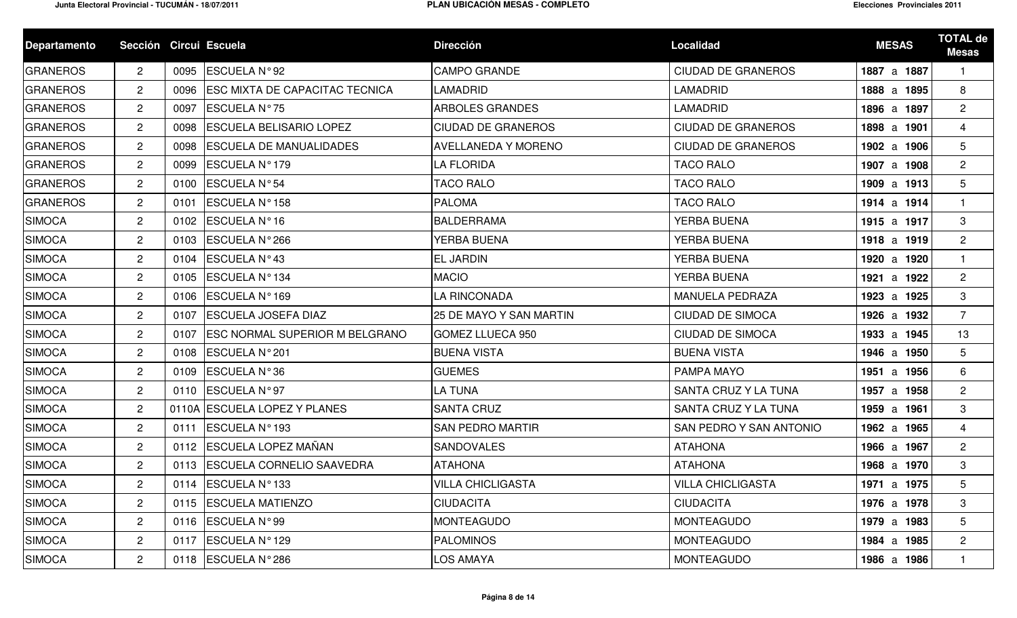| <b>Departamento</b> | Sección Circui Escuela |      |                                       | <b>Dirección</b>               | <b>Localidad</b>          | <b>MESAS</b> | <b>TOTAL de</b><br><b>Mesas</b> |
|---------------------|------------------------|------|---------------------------------------|--------------------------------|---------------------------|--------------|---------------------------------|
| <b>GRANEROS</b>     | $\overline{2}$         | 0095 | ESCUELA N°92                          | <b>CAMPO GRANDE</b>            | CIUDAD DE GRANEROS        | 1887 a 1887  |                                 |
| <b>GRANEROS</b>     | $\overline{2}$         | 0096 | <b>ESC MIXTA DE CAPACITAC TECNICA</b> | <b>LAMADRID</b>                | <b>LAMADRID</b>           | 1888 a 1895  | 8                               |
| <b>GRANEROS</b>     | $\overline{2}$         | 0097 | ESCUELA N°75                          | <b>ARBOLES GRANDES</b>         | LAMADRID                  | 1896 a 1897  | $\overline{2}$                  |
| <b>GRANEROS</b>     | $\overline{2}$         | 0098 | <b>ESCUELA BELISARIO LOPEZ</b>        | <b>CIUDAD DE GRANEROS</b>      | <b>CIUDAD DE GRANEROS</b> | 1898 a 1901  | 4                               |
| <b>GRANEROS</b>     | $\overline{2}$         | 0098 | <b>ESCUELA DE MANUALIDADES</b>        | <b>AVELLANEDA Y MORENO</b>     | <b>CIUDAD DE GRANEROS</b> | 1902 a 1906  | 5                               |
| <b>GRANEROS</b>     | $\overline{2}$         | 0099 | ESCUELA Nº 179                        | <b>LA FLORIDA</b>              | <b>TACO RALO</b>          | 1907 a 1908  | $\overline{2}$                  |
| <b>GRANEROS</b>     | $\overline{2}$         | 0100 | <b>ESCUELA N°54</b>                   | <b>TACO RALO</b>               | <b>TACO RALO</b>          | 1909 a 1913  | 5                               |
| <b>GRANEROS</b>     | $\overline{2}$         | 0101 | <b>ESCUELA N°158</b>                  | <b>PALOMA</b>                  | <b>TACO RALO</b>          | 1914 a 1914  | -1                              |
| <b>SIMOCA</b>       | $\mathbf{2}$           | 0102 | ESCUELA Nº16                          | BALDERRAMA                     | YERBA BUENA               | 1915 a 1917  | 3                               |
| <b>SIMOCA</b>       | $\overline{2}$         | 0103 | <b>ESCUELA N°266</b>                  | YERBA BUENA                    | YERBA BUENA               | 1918 a 1919  | $\overline{2}$                  |
| <b>SIMOCA</b>       | $\overline{2}$         | 0104 | ESCUELA Nº43                          | <b>EL JARDIN</b>               | <b>YERBA BUENA</b>        | 1920 a 1920  |                                 |
| <b>SIMOCA</b>       | $\mathbf{2}$           | 0105 | ESCUELA Nº134                         | <b>MACIO</b>                   | YERBA BUENA               | 1921 a 1922  | $\overline{2}$                  |
| <b>SIMOCA</b>       | $\overline{2}$         | 0106 | ESCUELA Nº 169                        | LA RINCONADA                   | MANUELA PEDRAZA           | 1923 a 1925  | 3                               |
| <b>SIMOCA</b>       | $\overline{2}$         | 0107 | <b>ESCUELA JOSEFA DIAZ</b>            | <b>25 DE MAYO Y SAN MARTIN</b> | <b>CIUDAD DE SIMOCA</b>   | 1926 a 1932  | $\overline{7}$                  |
| <b>SIMOCA</b>       | $\overline{2}$         | 0107 | <b>ESC NORMAL SUPERIOR M BELGRANO</b> | <b>GOMEZ LLUECA 950</b>        | <b>CIUDAD DE SIMOCA</b>   | 1933 a 1945  | 13                              |
| <b>SIMOCA</b>       | $\overline{2}$         | 0108 | ESCUELA N°201                         | <b>BUENA VISTA</b>             | <b>BUENA VISTA</b>        | 1946 a 1950  | $5\phantom{.0}$                 |
| <b>SIMOCA</b>       | $\overline{2}$         | 0109 | <b>ESCUELA N°36</b>                   | <b>GUEMES</b>                  | PAMPA MAYO                | 1951 a 1956  | 6                               |
| <b>SIMOCA</b>       | $\overline{2}$         | 0110 | <b>ESCUELA N°97</b>                   | LA TUNA                        | SANTA CRUZ Y LA TUNA      | 1957 a 1958  | $\overline{2}$                  |
| <b>SIMOCA</b>       | $\overline{2}$         |      | 0110A ESCUELA LOPEZ Y PLANES          | <b>SANTA CRUZ</b>              | SANTA CRUZ Y LA TUNA      | 1959 a 1961  | 3                               |
| <b>SIMOCA</b>       | $\overline{2}$         | 0111 | ESCUELA Nº 193                        | <b>SAN PEDRO MARTIR</b>        | SAN PEDRO Y SAN ANTONIO   | 1962 a 1965  | 4                               |
| <b>SIMOCA</b>       | $\overline{2}$         | 0112 | ESCUELA LOPEZ MAÑAN                   | <b>SANDOVALES</b>              | <b>ATAHONA</b>            | 1966 a 1967  | $\overline{2}$                  |
| <b>SIMOCA</b>       | $\overline{2}$         |      | 0113   ESCUELA CORNELIO SAAVEDRA      | <b>ATAHONA</b>                 | <b>ATAHONA</b>            | 1968 a 1970  | 3                               |
| <b>SIMOCA</b>       | $\overline{2}$         |      | 0114 ESCUELA N°133                    | <b>VILLA CHICLIGASTA</b>       | <b>VILLA CHICLIGASTA</b>  | 1971 a 1975  | 5                               |
| <b>SIMOCA</b>       | $\overline{2}$         | 0115 | <b>ESCUELA MATIENZO</b>               | <b>CIUDACITA</b>               | <b>CIUDACITA</b>          | 1976 a 1978  | 3                               |
| <b>SIMOCA</b>       | $\overline{2}$         | 0116 | ESCUELA N°99                          | <b>MONTEAGUDO</b>              | <b>MONTEAGUDO</b>         | 1979 a 1983  | $5\overline{)}$                 |
| <b>SIMOCA</b>       | $\overline{2}$         | 0117 | ESCUELA Nº 129                        | <b>PALOMINOS</b>               | <b>MONTEAGUDO</b>         | 1984 a 1985  | $\overline{2}$                  |
| <b>SIMOCA</b>       | $\overline{2}$         |      | 0118 ESCUELA N°286                    | <b>LOS AMAYA</b>               | <b>MONTEAGUDO</b>         | 1986 a 1986  |                                 |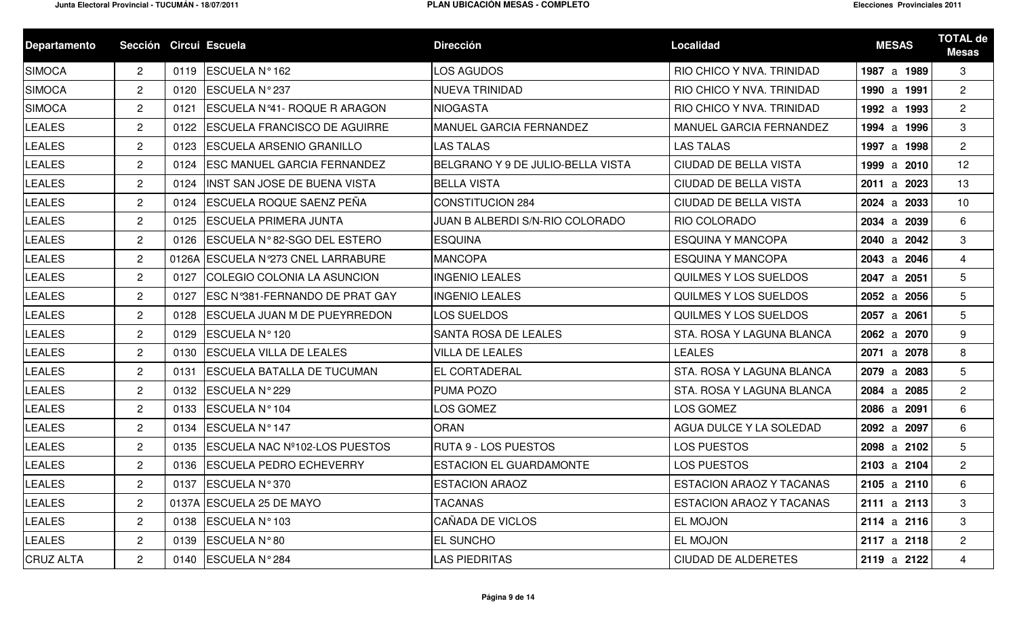| <b>Departamento</b> | Sección Circui Escuela |      |                                        | <b>Dirección</b>                  | <b>Localidad</b>             | <b>MESAS</b> | <b>TOTAL de</b><br><b>Mesas</b> |
|---------------------|------------------------|------|----------------------------------------|-----------------------------------|------------------------------|--------------|---------------------------------|
| <b>SIMOCA</b>       | $\mathbf{2}$           | 0119 | <b>ESCUELA Nº162</b>                   | <b>LOS AGUDOS</b>                 | RIO CHICO Y NVA. TRINIDAD    | 1987 a 1989  | 3                               |
| <b>SIMOCA</b>       | $\overline{2}$         | 0120 | <b>ESCUELA N°237</b>                   | <b>NUEVA TRINIDAD</b>             | RIO CHICO Y NVA. TRINIDAD    | 1990 a 1991  | $\overline{2}$                  |
| <b>SIMOCA</b>       | $\overline{2}$         | 0121 | ESCUELA Nº41- ROQUE R ARAGON           | <b>NIOGASTA</b>                   | RIO CHICO Y NVA. TRINIDAD    | 1992 a 1993  | $\overline{2}$                  |
| <b>LEALES</b>       | $\overline{2}$         | 0122 | <b>ESCUELA FRANCISCO DE AGUIRRE</b>    | <b>MANUEL GARCIA FERNANDEZ</b>    | MANUEL GARCIA FERNANDEZ      | 1994 a 1996  | 3                               |
| <b>LEALES</b>       | $\overline{2}$         | 0123 | <b>ESCUELA ARSENIO GRANILLO</b>        | <b>LAS TALAS</b>                  | <b>LAS TALAS</b>             | 1997 a 1998  | $\overline{2}$                  |
| <b>LEALES</b>       | $\overline{2}$         | 0124 | <b>ESC MANUEL GARCIA FERNANDEZ</b>     | BELGRANO Y 9 DE JULIO-BELLA VISTA | <b>CIUDAD DE BELLA VISTA</b> | 1999 a 2010  | 12                              |
| <b>LEALES</b>       | $\overline{2}$         | 0124 | <b>INST SAN JOSE DE BUENA VISTA</b>    | <b>BELLA VISTA</b>                | CIUDAD DE BELLA VISTA        | 2011 a 2023  | 13                              |
| <b>LEALES</b>       | $\overline{2}$         | 0124 | <b>ESCUELA ROQUE SAENZ PEÑA</b>        | <b>CONSTITUCION 284</b>           | CIUDAD DE BELLA VISTA        | 2024 a 2033  | 10                              |
| <b>LEALES</b>       | $\overline{2}$         | 0125 | <b>IESCUELA PRIMERA JUNTA</b>          | JUAN B ALBERDI S/N-RIO COLORADO   | RIO COLORADO                 | 2034 a 2039  | 6                               |
| <b>LEALES</b>       | $\overline{2}$         | 0126 | <b>IESCUELA N°82-SGO DEL ESTERO</b>    | <b>ESQUINA</b>                    | <b>ESQUINA Y MANCOPA</b>     | 2040 a 2042  | 3                               |
| <b>LEALES</b>       | $\overline{2}$         |      | 0126A ESCUELA Nº273 CNEL LARRABURE     | <b>MANCOPA</b>                    | <b>ESQUINA Y MANCOPA</b>     | 2043 a 2046  | $\overline{4}$                  |
| <b>LEALES</b>       | $\mathbf{2}$           | 0127 | <b>COLEGIO COLONIA LA ASUNCION</b>     | <b>INGENIO LEALES</b>             | <b>QUILMES Y LOS SUELDOS</b> | 2047 a 2051  | 5                               |
| <b>LEALES</b>       | $\overline{2}$         | 0127 | <b>IESC N°381-FERNANDO DE PRAT GAY</b> | <b>INGENIO LEALES</b>             | QUILMES Y LOS SUELDOS        | 2052 a 2056  | 5                               |
| <b>LEALES</b>       | $\overline{2}$         | 0128 | <b>ESCUELA JUAN M DE PUEYRREDON</b>    | <b>LOS SUELDOS</b>                | QUILMES Y LOS SUELDOS        | 2057 a 2061  | 5                               |
| <b>LEALES</b>       | $\overline{2}$         | 0129 | <b>ESCUELA Nº120</b>                   | <b>SANTA ROSA DE LEALES</b>       | STA. ROSA Y LAGUNA BLANCA    | 2062 a 2070  | 9                               |
| <b>LEALES</b>       | $\overline{2}$         | 0130 | <b>ESCUELA VILLA DE LEALES</b>         | <b>VILLA DE LEALES</b>            | <b>LEALES</b>                | 2071 a 2078  | 8                               |
| <b>LEALES</b>       | $\overline{2}$         | 0131 | <b>ESCUELA BATALLA DE TUCUMAN</b>      | <b>IEL CORTADERAL</b>             | STA. ROSA Y LAGUNA BLANCA    | 2079 a 2083  | 5                               |
| <b>LEALES</b>       | $\overline{2}$         | 0132 | <b>ESCUELA N°229</b>                   | <b>PUMA POZO</b>                  | STA. ROSA Y LAGUNA BLANCA    | 2084 a 2085  | $\overline{2}$                  |
| <b>LEALES</b>       | $\overline{2}$         | 0133 | <b>ESCUELA Nº104</b>                   | LOS GOMEZ                         | LOS GOMEZ                    | 2086 a 2091  | 6                               |
| <b>LEALES</b>       | $\overline{2}$         | 0134 | <b>ESCUELA Nº147</b>                   | <b>ORAN</b>                       | AGUA DULCE Y LA SOLEDAD      | 2092 a 2097  | 6                               |
| <b>LEALES</b>       | $\mathbf{2}$           | 0135 | <b>IESCUELA NAC Nº102-LOS PUESTOS</b>  | <b>RUTA 9 - LOS PUESTOS</b>       | LOS PUESTOS                  | 2098 a 2102  | 5                               |
| <b>LEALES</b>       | $\mathbf{2}^{\circ}$   | 0136 | <b>ESCUELA PEDRO ECHEVERRY</b>         | <b>ESTACION EL GUARDAMONTE</b>    | LOS PUESTOS                  | 2103 a 2104  | $\overline{2}$                  |
| <b>LEALES</b>       | $\overline{2}$         |      | 0137 ESCUELA N° 370                    | <b>ESTACION ARAOZ</b>             | ESTACION ARAOZ Y TACANAS     | 2105 a 2110  | 6                               |
| <b>LEALES</b>       | $\overline{2}$         |      | 0137A ESCUELA 25 DE MAYO               | <b>TACANAS</b>                    | ESTACION ARAOZ Y TACANAS     | 2111 a 2113  | 3                               |
| <b>LEALES</b>       | $\mathbf{2}$           |      | 0138 ESCUELA N°103                     | CAÑADA DE VICLOS                  | EL MOJON                     | 2114 a 2116  | 3                               |
| <b>LEALES</b>       | $\overline{2}$         | 0139 | ESCUELA N°80                           | <b>EL SUNCHO</b>                  | EL MOJON                     | 2117 a 2118  | $\overline{2}$                  |
| <b>CRUZ ALTA</b>    | $\mathbf{2}$           |      | 0140 ESCUELA N° 284                    | <b>LAS PIEDRITAS</b>              | <b>CIUDAD DE ALDERETES</b>   | 2119 a 2122  | 4                               |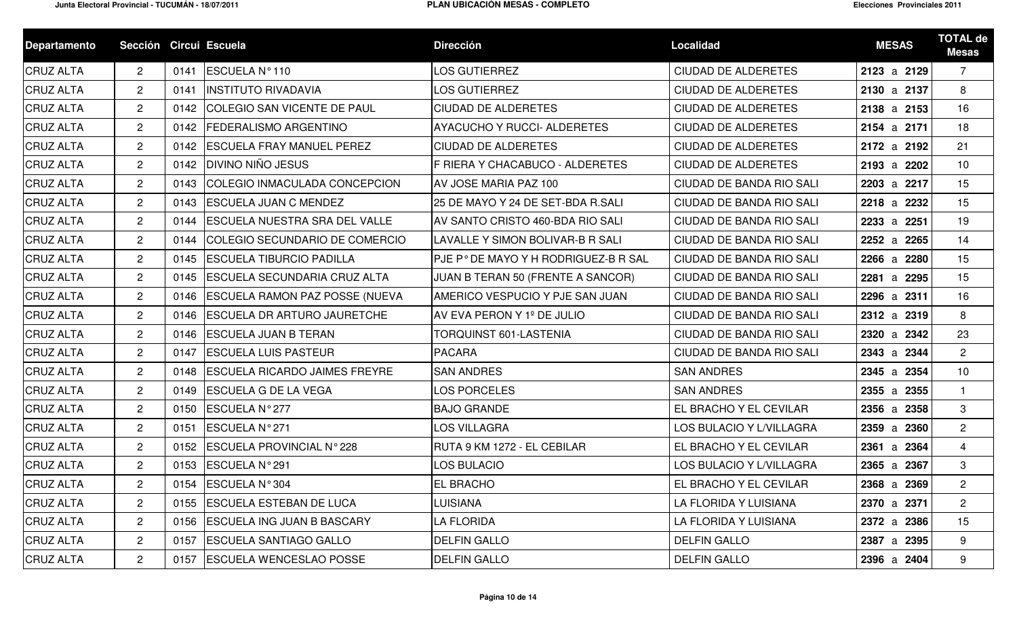| <b>Departamento</b> | Sección Circui Escuela    |      |                                       | <b>Dirección</b>                    | Localidad                  | <b>MESAS</b> | <b>TOTAL de</b><br><b>Mesas</b> |
|---------------------|---------------------------|------|---------------------------------------|-------------------------------------|----------------------------|--------------|---------------------------------|
| <b>CRUZ ALTA</b>    | $\mathbf{2}^{\circ}$      | 0141 | ESCUELA Nº110                         | <b>LOS GUTIERREZ</b>                | <b>CIUDAD DE ALDERETES</b> | 2123 a 2129  | $\overline{7}$                  |
| <b>CRUZ ALTA</b>    | $\overline{2}$            | 0141 | <b>INSTITUTO RIVADAVIA</b>            | <b>LOS GUTIERREZ</b>                | <b>CIUDAD DE ALDERETES</b> | 2130 a 2137  | 8                               |
| <b>CRUZ ALTA</b>    | $\mathbf{2}^{\circ}$      | 0142 | <b>COLEGIO SAN VICENTE DE PAUL</b>    | <b>CIUDAD DE ALDERETES</b>          | <b>CIUDAD DE ALDERETES</b> | 2138 a 2153  | 16                              |
| <b>CRUZ ALTA</b>    | $\overline{2}$            | 0142 | <b>FEDERALISMO ARGENTINO</b>          | <b>AYACUCHO Y RUCCI- ALDERETES</b>  | <b>CIUDAD DE ALDERETES</b> | 2154 a 2171  | 18                              |
| <b>CRUZ ALTA</b>    | $\mathbf{2}$              | 0142 | <b>ESCUELA FRAY MANUEL PEREZ</b>      | <b>CIUDAD DE ALDERETES</b>          | <b>CIUDAD DE ALDERETES</b> | 2172 a 2192  | 21                              |
| <b>CRUZ ALTA</b>    | $\overline{2}$            | 0142 | <b>DIVINO NIÑO JESUS</b>              | F RIERA Y CHACABUCO - ALDERETES     | <b>CIUDAD DE ALDERETES</b> | 2193 a 2202  | 10                              |
| <b>CRUZ ALTA</b>    | $\mathbf{2}$              | 0143 | COLEGIO INMACULADA CONCEPCION         | AV JOSE MARIA PAZ 100               | CIUDAD DE BANDA RIO SALI   | 2203 a 2217  | 15                              |
| <b>CRUZ ALTA</b>    | $\overline{2}$            | 0143 | <b>ESCUELA JUAN C MENDEZ</b>          | 25 DE MAYO Y 24 DE SET-BDA R.SALI   | CIUDAD DE BANDA RIO SALI   | 2218 a 2232  | 15                              |
| <b>CRUZ ALTA</b>    | $\overline{2}$            | 0144 | <b>ESCUELA NUESTRA SRA DEL VALLE</b>  | AV SANTO CRISTO 460-BDA RIO SALI    | CIUDAD DE BANDA RIO SALI   | 2233 a 2251  | 19                              |
| <b>CRUZ ALTA</b>    | $\mathbf{2}$              | 0144 | COLEGIO SECUNDARIO DE COMERCIO        | LAVALLE Y SIMON BOLIVAR-B R SALI    | CIUDAD DE BANDA RIO SALI   | 2252 a 2265  | 14                              |
| <b>CRUZ ALTA</b>    | $\overline{2}$            | 0145 | <b>ESCUELA TIBURCIO PADILLA</b>       | PJE P°DE MAYO Y H RODRIGUEZ-B R SAL | CIUDAD DE BANDA RIO SALI   | 2266 a 2280  | 15                              |
| <b>CRUZ ALTA</b>    | $\mathbf{2}^{\circ}$      | 0145 | <b>IESCUELA SECUNDARIA CRUZ ALTA</b>  | JUAN B TERAN 50 (FRENTE A SANCOR)   | CIUDAD DE BANDA RIO SALI   | 2281 a 2295  | 15                              |
| <b>CRUZ ALTA</b>    | $\mathbf{2}^{\circ}$      | 0146 | <b>ESCUELA RAMON PAZ POSSE (NUEVA</b> | AMERICO VESPUCIO Y PJE SAN JUAN     | CIUDAD DE BANDA RIO SALI   | 2296 a 2311  | 16                              |
| <b>CRUZ ALTA</b>    | $\overline{2}$            | 0146 | <b>ESCUELA DR ARTURO JAURETCHE</b>    | AV EVA PERON Y 1º DE JULIO          | CIUDAD DE BANDA RIO SALI   | 2312 a 2319  | 8                               |
| <b>CRUZ ALTA</b>    | $\overline{2}$            | 0146 | <b>ESCUELA JUAN B TERAN</b>           | TORQUINST 601-LASTENIA              | CIUDAD DE BANDA RIO SALI   | 2320 a 2342  | 23                              |
| <b>CRUZ ALTA</b>    | $\overline{2}$            | 0147 | <b>ESCUELA LUIS PASTEUR</b>           | <b>PACARA</b>                       | CIUDAD DE BANDA RIO SALI   | 2343 a 2344  | $\overline{2}$                  |
| <b>CRUZ ALTA</b>    | $\overline{2}$            | 0148 | <b>ESCUELA RICARDO JAIMES FREYRE</b>  | <b>SAN ANDRES</b>                   | <b>SAN ANDRES</b>          | 2345 a 2354  | 10                              |
| <b>CRUZ ALTA</b>    | $\overline{2}$            | 0149 | <b>ESCUELA G DE LA VEGA</b>           | <b>LOS PORCELES</b>                 | <b>SAN ANDRES</b>          | 2355 a 2355  | $\mathbf{1}$                    |
| <b>CRUZ ALTA</b>    | $\overline{2}$            | 0150 | ESCUELA Nº 277                        | <b>BAJO GRANDE</b>                  | EL BRACHO Y EL CEVILAR     | 2356 a 2358  | 3                               |
| <b>CRUZ ALTA</b>    | $\overline{2}$            | 0151 | ESCUELA Nº 271                        | LOS VILLAGRA                        | LOS BULACIO Y L/VILLAGRA   | 2359 a 2360  | $\overline{2}$                  |
| <b>CRUZ ALTA</b>    | $\mathbf{2}$              | 0152 | ESCUELA PROVINCIAL N°228              | IRUTA 9 KM 1272 - EL CEBILAR        | EL BRACHO Y EL CEVILAR     | 2361 a 2364  | $\overline{4}$                  |
| <b>CRUZ ALTA</b>    | $\mathbf{2}^{\circ}$      |      | 0153 ESCUELA N° 291                   | <b>LOS BULACIO</b>                  | LOS BULACIO Y L/VILLAGRA   | 2365 a 2367  | 3                               |
| <b>CRUZ ALTA</b>    | $\mathbf{2}^{\mathsf{I}}$ |      | 0154 ESCUELA N° 304                   | <b>EL BRACHO</b>                    | EL BRACHO Y EL CEVILAR     | 2368 a 2369  | $2^{\circ}$                     |
| <b>CRUZ ALTA</b>    | $\mathbf{2}$              | 0155 | <b>ESCUELA ESTEBAN DE LUCA</b>        | <b>LUISIANA</b>                     | LA FLORIDA Y LUISIANA      | 2370 a 2371  | $2^{\circ}$                     |
| <b>CRUZ ALTA</b>    | $\overline{2}$            | 0156 | <b>ESCUELA ING JUAN B BASCARY</b>     | LA FLORIDA                          | LA FLORIDA Y LUISIANA      | 2372 a 2386  | 15                              |
| <b>CRUZ ALTA</b>    | $\overline{2}$            | 0157 | <b>ESCUELA SANTIAGO GALLO</b>         | <b>DELFIN GALLO</b>                 | <b>DELFIN GALLO</b>        | 2387 a 2395  | 9                               |
| <b>CRUZ ALTA</b>    | $\overline{2}$            | 0157 | <b>ESCUELA WENCESLAO POSSE</b>        | <b>DELFIN GALLO</b>                 | <b>DELFIN GALLO</b>        | 2396 a 2404  | 9                               |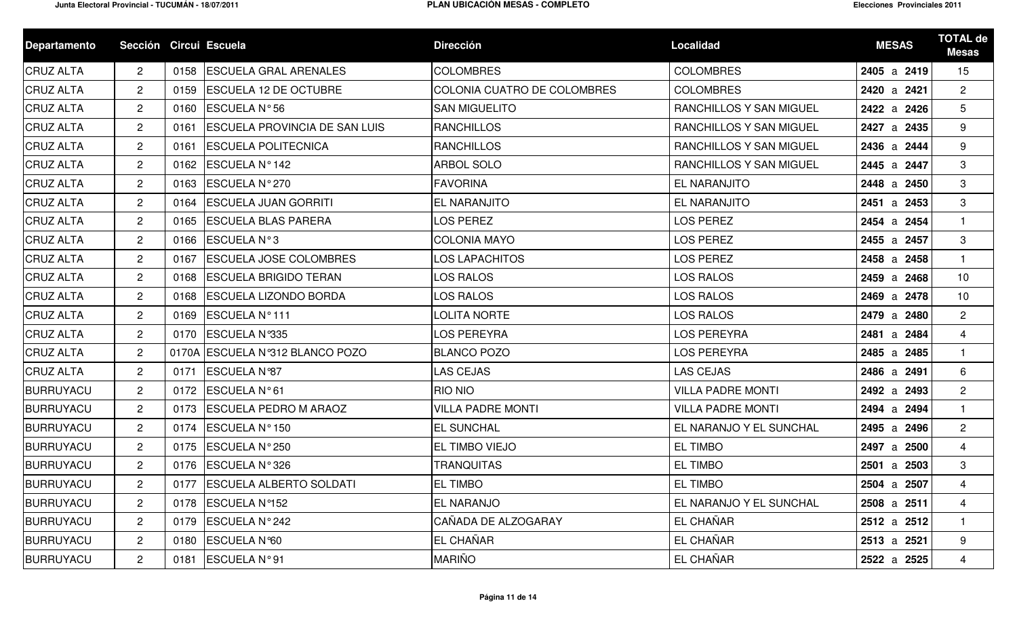| <b>Departamento</b> | Sección Circui Escuela |      |                                      | <b>Dirección</b>            | <b>Localidad</b>         | <b>MESAS</b> | <b>TOTAL de</b><br><b>Mesas</b> |
|---------------------|------------------------|------|--------------------------------------|-----------------------------|--------------------------|--------------|---------------------------------|
| <b>CRUZ ALTA</b>    | $\mathbf{2}$           | 0158 | <b>ESCUELA GRAL ARENALES</b>         | <b>COLOMBRES</b>            | <b>COLOMBRES</b>         | 2405 a 2419  | 15                              |
| <b>CRUZ ALTA</b>    | $\mathbf{2}$           |      | 0159 ESCUELA 12 DE OCTUBRE           | COLONIA CUATRO DE COLOMBRES | <b>COLOMBRES</b>         | 2420 a 2421  | $\mathbf{2}$                    |
| <b>CRUZ ALTA</b>    | $\mathbf{2}$           | 0160 | ESCUELA N°56                         | <b>SAN MIGUELITO</b>        | RANCHILLOS Y SAN MIGUEL  | 2422 a 2426  | 5                               |
| <b>CRUZ ALTA</b>    | $\overline{c}$         | 0161 | <b>ESCUELA PROVINCIA DE SAN LUIS</b> | <b>RANCHILLOS</b>           | RANCHILLOS Y SAN MIGUEL  | 2427 a 2435  | 9                               |
| <b>CRUZ ALTA</b>    | $\overline{2}$         | 0161 | <b>ESCUELA POLITECNICA</b>           | <b>RANCHILLOS</b>           | RANCHILLOS Y SAN MIGUEL  | 2436 a 2444  | 9                               |
| <b>CRUZ ALTA</b>    | $\mathbf{2}$           | 0162 | ESCUELA Nº 142                       | ARBOL SOLO                  | RANCHILLOS Y SAN MIGUEL  | 2445 a 2447  | 3                               |
| <b>CRUZ ALTA</b>    | $\overline{2}$         | 0163 | ESCUELA N°270                        | <b>FAVORINA</b>             | EL NARANJITO             | 2448 a 2450  | 3                               |
| <b>CRUZ ALTA</b>    | $\mathbf{2}$           | 0164 | <b>ESCUELA JUAN GORRITI</b>          | EL NARANJITO                | EL NARANJITO             | 2451 a 2453  | 3                               |
| <b>CRUZ ALTA</b>    | $\mathbf{2}$           |      | 0165 ESCUELA BLAS PARERA             | LOS PEREZ                   | LOS PEREZ                | 2454 a 2454  |                                 |
| <b>CRUZ ALTA</b>    | $\mathbf{2}$           | 0166 | <b>ESCUELA N°3</b>                   | <b>COLONIA MAYO</b>         | <b>LOS PEREZ</b>         | 2455 a 2457  | 3                               |
| <b>CRUZ ALTA</b>    | $\mathbf{2}$           | 0167 | <b>ESCUELA JOSE COLOMBRES</b>        | LOS LAPACHITOS              | LOS PEREZ                | 2458 a 2458  |                                 |
| <b>CRUZ ALTA</b>    | $\mathbf{2}$           | 0168 | <b>ESCUELA BRIGIDO TERAN</b>         | LOS RALOS                   | LOS RALOS                | 2459 a 2468  | 10                              |
| <b>CRUZ ALTA</b>    | $\mathbf{2}$           | 0168 | <b>ESCUELA LIZONDO BORDA</b>         | LOS RALOS                   | <b>LOS RALOS</b>         | 2469 a 2478  | 10                              |
| <b>CRUZ ALTA</b>    | $\mathbf{2}$           | 0169 | ESCUELA Nº111                        | LOLITA NORTE                | <b>LOS RALOS</b>         | 2479 a 2480  | $\overline{2}$                  |
| <b>CRUZ ALTA</b>    | $\overline{2}$         | 0170 | ESCUELA N°335                        | LOS PEREYRA                 | <b>LOS PEREYRA</b>       | 2481 a 2484  | $\overline{4}$                  |
| <b>CRUZ ALTA</b>    | $\overline{2}$         |      | 0170A ESCUELA Nº312 BLANCO POZO      | <b>BLANCO POZO</b>          | <b>LOS PEREYRA</b>       | 2485 a 2485  | $\mathbf{1}$                    |
| <b>CRUZ ALTA</b>    | $\mathbf{2}$           | 0171 | ESCUELA N°87                         | <b>LAS CEJAS</b>            | <b>LAS CEJAS</b>         | 2486 a 2491  | 6                               |
| BURRUYACU           | $\mathbf{2}$           |      | 0172 ESCUELA N°61                    | RIO NIO                     | <b>VILLA PADRE MONTI</b> | 2492 a 2493  | $\overline{2}$                  |
| BURRUYACU           | $\mathbf{2}^{\prime}$  | 0173 | <b>ESCUELA PEDRO M ARAOZ</b>         | <b>VILLA PADRE MONTI</b>    | <b>VILLA PADRE MONTI</b> | 2494 a 2494  | $\mathbf{1}$                    |
| BURRUYACU           | $\mathbf{2}$           |      | 0174 ESCUELA N°150                   | EL SUNCHAL                  | EL NARANJO Y EL SUNCHAL  | 2495 a 2496  | $\overline{2}$                  |
| BURRUYACU           | $\mathbf{2}$           |      | 0175 ESCUELA N° 250                  | EL TIMBO VIEJO              | <b>EL TIMBO</b>          | 2497 a 2500  | $\overline{4}$                  |
| BURRUYACU           | $\mathbf{2}^{\circ}$   |      | 0176 ESCUELA N°326                   | <b>TRANQUITAS</b>           | <b>EL TIMBO</b>          | 2501 a 2503  | 3                               |
| BURRUYACU           | $\overline{2}$         |      | 0177 ESCUELA ALBERTO SOLDATI         | <b>EL TIMBO</b>             | EL TIMBO                 | 2504 a 2507  | $\mathbf{\Lambda}$              |
| <b>BURRUYACU</b>    | $\overline{2}$         |      | 0178 ESCUELA Nº152                   | <b>EL NARANJO</b>           | EL NARANJO Y EL SUNCHAL  | 2508 a 2511  | $\overline{4}$                  |
| <b>BURRUYACU</b>    | $\mathbf{2}$           | 0179 | ESCUELA N°242                        | CAÑADA DE ALZOGARAY         | EL CHAÑAR                | 2512 a 2512  | $\mathbf{1}$                    |
| <b>BURRUYACU</b>    | $\overline{2}$         | 0180 | ESCUELA N°60                         | EL CHAÑAR                   | EL CHAÑAR                | 2513 a 2521  | 9                               |
| <b>BURRUYACU</b>    | $\overline{2}$         | 0181 | ESCUELA N°91                         | <b>MARIÑO</b>               | EL CHAÑAR                | 2522 a 2525  | $\overline{4}$                  |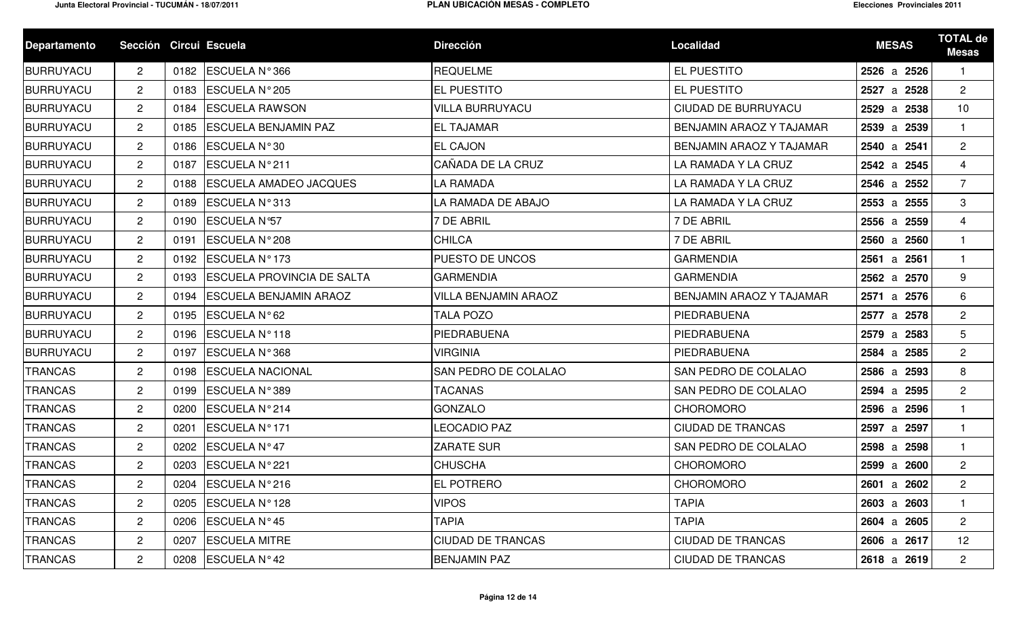| <b>Departamento</b> | Sección Circui Escuela |      |                                   | <b>Dirección</b>            | <b>Localidad</b>           | <b>MESAS</b> | <b>TOTAL de</b><br><b>Mesas</b> |
|---------------------|------------------------|------|-----------------------------------|-----------------------------|----------------------------|--------------|---------------------------------|
| BURRUYACU           | $\mathbf{2}$           | 0182 | ESCUELA N°366                     | <b>REQUELME</b>             | EL PUESTITO                | 2526 a 2526  | $\mathbf{1}$                    |
| BURRUYACU           | $\overline{2}$         | 0183 | ESCUELA N° 205                    | EL PUESTITO                 | EL PUESTITO                | 2527 a 2528  | $\overline{2}$                  |
| BURRUYACU           | $\mathbf{2}$           | 0184 | <b>ESCUELA RAWSON</b>             | <b>VILLA BURRUYACU</b>      | <b>CIUDAD DE BURRUYACU</b> | 2529 a 2538  | 10                              |
| BURRUYACU           | $\mathbf{2}$           | 0185 | <b>ESCUELA BENJAMIN PAZ</b>       | <b>EL TAJAMAR</b>           | BENJAMIN ARAOZ Y TAJAMAR   | 2539 a 2539  | $\mathbf{1}$                    |
| BURRUYACU           | $\mathbf{2}$           | 0186 | ESCUELA N°30                      | <b>EL CAJON</b>             | BENJAMIN ARAOZ Y TAJAMAR   | 2540 a 2541  | $\overline{2}$                  |
| BURRUYACU           | $\overline{2}$         | 0187 | ESCUELA N°211                     | CAÑADA DE LA CRUZ           | LA RAMADA Y LA CRUZ        | 2542 a 2545  | $\overline{4}$                  |
| BURRUYACU           | $\overline{2}$         | 0188 | <b>ESCUELA AMADEO JACQUES</b>     | LA RAMADA                   | LA RAMADA Y LA CRUZ        | 2546 a 2552  | $\overline{7}$                  |
| BURRUYACU           | $\overline{2}$         | 0189 | ESCUELA N°313                     | LA RAMADA DE ABAJO          | LA RAMADA Y LA CRUZ        | 2553 a 2555  | 3                               |
| <b>BURRUYACU</b>    | $\mathbf{2}^{\prime}$  | 0190 | <b>ESCUELA N°57</b>               | <b>7 DE ABRIL</b>           | 7 DE ABRIL                 | 2556 a 2559  | $\overline{4}$                  |
| BURRUYACU           | $\mathbf{2}^{\prime}$  | 0191 | ESCUELA N° 208                    | <b>CHILCA</b>               | 7 DE ABRIL                 | 2560 a 2560  | $\mathbf{1}$                    |
| BURRUYACU           | $\overline{2}$         |      | 0192 ESCUELA Nº 173               | PUESTO DE UNCOS             | <b>GARMENDIA</b>           | 2561 a 2561  | $\mathbf{1}$                    |
| BURRUYACU           | $\mathbf{2}$           | 0193 | <b>ESCUELA PROVINCIA DE SALTA</b> | <b>GARMENDIA</b>            | <b>GARMENDIA</b>           | 2562 a 2570  | 9                               |
| BURRUYACU           | $\overline{2}$         | 0194 | <b>ESCUELA BENJAMIN ARAOZ</b>     | <b>VILLA BENJAMIN ARAOZ</b> | BENJAMIN ARAOZ Y TAJAMAR   | 2571 a 2576  | 6                               |
| BURRUYACU           | $\overline{2}$         | 0195 | ESCUELA N°62                      | TALA POZO                   | PIEDRABUENA                | 2577 a 2578  | $\overline{2}$                  |
| <b>BURRUYACU</b>    | $\overline{2}$         | 0196 | ESCUELA Nº118                     | PIEDRABUENA                 | PIEDRABUENA                | 2579 a 2583  | 5                               |
| BURRUYACU           | $\mathbf{2}^{\prime}$  | 0197 | ESCUELA Nº 368                    | <b>VIRGINIA</b>             | PIEDRABUENA                | 2584 a 2585  | $\overline{2}$                  |
| <b>TRANCAS</b>      | $\overline{2}$         | 0198 | <b>ESCUELA NACIONAL</b>           | SAN PEDRO DE COLALAO        | SAN PEDRO DE COLALAO       | 2586 a 2593  | 8                               |
| <b>TRANCAS</b>      | $\mathbf{2}^{\prime}$  | 0199 | ESCUELA N°389                     | TACANAS                     | SAN PEDRO DE COLALAO       | 2594 a 2595  | $\overline{2}$                  |
| <b>TRANCAS</b>      | $\mathbf{2}^{\prime}$  | 0200 | ESCUELA N°214                     | <b>GONZALO</b>              | <b>CHOROMORO</b>           | 2596 a 2596  | $\mathbf{1}$                    |
| <b>TRANCAS</b>      | $\mathbf{2}^{\prime}$  | 0201 | ESCUELA Nº171                     | LEOCADIO PAZ                | <b>CIUDAD DE TRANCAS</b>   | 2597 a 2597  | $\mathbf{1}$                    |
| <b>TRANCAS</b>      | $\overline{2}$         | 0202 | ESCUELA Nº47                      | <b>ZARATE SUR</b>           | SAN PEDRO DE COLALAO       | 2598 a 2598  | $\mathbf{1}$                    |
| <b>TRANCAS</b>      | $\mathbf{2}^{\prime}$  |      | 0203   ESCUELA N° 221             | <b>CHUSCHA</b>              | <b>CHOROMORO</b>           | 2599 a 2600  | $\mathbf{2}$                    |
| <b>TRANCAS</b>      | $\overline{2}$         |      | 0204 ESCUELA N°216                | <b>EL POTRERO</b>           | <b>CHOROMORO</b>           | 2601 a 2602  | $2^{\circ}$                     |
| <b>TRANCAS</b>      | $\overline{2}$         | 0205 | ESCUELA Nº128                     | <b>VIPOS</b>                | <b>TAPIA</b>               | 2603 a 2603  |                                 |
| <b>TRANCAS</b>      | $\mathbf{2}^{\prime}$  | 0206 | ESCUELA Nº45                      | <b>TAPIA</b>                | <b>TAPIA</b>               | 2604 a 2605  | $\overline{2}$                  |
| <b>TRANCAS</b>      | $\mathbf{2}$           | 0207 | <b>ESCUELA MITRE</b>              | <b>CIUDAD DE TRANCAS</b>    | <b>CIUDAD DE TRANCAS</b>   | 2606 a 2617  | 12                              |
| <b>TRANCAS</b>      | $\overline{2}$         |      | 0208 ESCUELA Nº 42                | <b>BENJAMIN PAZ</b>         | <b>CIUDAD DE TRANCAS</b>   | 2618 a 2619  | $\overline{2}$                  |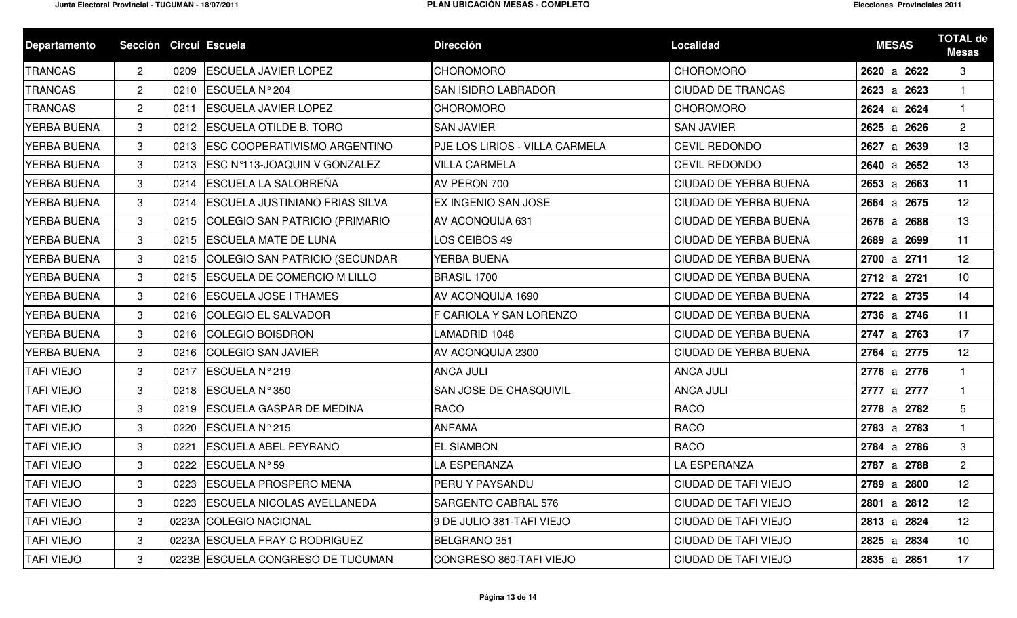| <b>Departamento</b> | Sección Circui Escuela |      |                                       | <b>Dirección</b>               | <b>Localidad</b>             | <b>MESAS</b> | <b>TOTAL de</b><br><b>Mesas</b> |
|---------------------|------------------------|------|---------------------------------------|--------------------------------|------------------------------|--------------|---------------------------------|
| <b>TRANCAS</b>      | $\overline{2}$         | 0209 | <b>ESCUELA JAVIER LOPEZ</b>           | <b>CHOROMORO</b>               | <b>CHOROMORO</b>             | 2620 a 2622  | 3                               |
| <b>TRANCAS</b>      | $\mathbf{2}^{\prime}$  | 0210 | ESCUELA N° 204                        | <b>SAN ISIDRO LABRADOR</b>     | <b>CIUDAD DE TRANCAS</b>     | 2623 a 2623  | $\mathbf{1}$                    |
| <b>TRANCAS</b>      | $\overline{2}$         | 0211 | <b>ESCUELA JAVIER LOPEZ</b>           | <b>CHOROMORO</b>               | <b>CHOROMORO</b>             | 2624 a 2624  | $\mathbf{1}$                    |
| <b>YERBA BUENA</b>  | 3                      | 0212 | <b>ESCUELA OTILDE B. TORO</b>         | <b>SAN JAVIER</b>              | <b>SAN JAVIER</b>            | 2625 a 2626  | $\overline{2}$                  |
| <b>YERBA BUENA</b>  | 3                      | 0213 | <b>ESC COOPERATIVISMO ARGENTINO</b>   | PJE LOS LIRIOS - VILLA CARMELA | <b>CEVIL REDONDO</b>         | 2627 a 2639  | 13                              |
| <b>YERBA BUENA</b>  | 3                      | 0213 | <b>ESC Nº113-JOAQUIN V GONZALEZ</b>   | <b>VILLA CARMELA</b>           | <b>CEVIL REDONDO</b>         | 2640 a 2652  | 13                              |
| <b>YERBA BUENA</b>  | 3                      |      | 0214 ESCUELA LA SALOBREÑA             | AV PERON 700                   | CIUDAD DE YERBA BUENA        | 2653 a 2663  | 11                              |
| <b>YERBA BUENA</b>  | 3                      | 0214 | <b>ESCUELA JUSTINIANO FRIAS SILVA</b> | EX INGENIO SAN JOSE            | <b>CIUDAD DE YERBA BUENA</b> | 2664 a 2675  | 12                              |
| <b>YERBA BUENA</b>  | 3                      | 0215 | COLEGIO SAN PATRICIO (PRIMARIO        | <b>AV ACONQUIJA 631</b>        | CIUDAD DE YERBA BUENA        | 2676 a 2688  | 13                              |
| <b>YERBA BUENA</b>  | 3                      | 0215 | <b>ESCUELA MATE DE LUNA</b>           | LOS CEIBOS 49                  | CIUDAD DE YERBA BUENA        | 2689 a 2699  | 11                              |
| <b>YERBA BUENA</b>  | 3                      | 0215 | COLEGIO SAN PATRICIO (SECUNDAR        | YERBA BUENA                    | CIUDAD DE YERBA BUENA        | 2700 a 2711  | 12                              |
| <b>YERBA BUENA</b>  | 3                      | 0215 | <b>ESCUELA DE COMERCIO M LILLO</b>    | BRASIL 1700                    | <b>CIUDAD DE YERBA BUENA</b> | 2712 a 2721  | 10                              |
| <b>YERBA BUENA</b>  | 3                      | 0216 | <b>ESCUELA JOSE I THAMES</b>          | AV ACONQUIJA 1690              | CIUDAD DE YERBA BUENA        | 2722 a 2735  | 14                              |
| YERBA BUENA         | 3                      | 0216 | <b>COLEGIO EL SALVADOR</b>            | F CARIOLA Y SAN LORENZO        | CIUDAD DE YERBA BUENA        | 2736 a 2746  | 11                              |
| YERBA BUENA         | 3                      | 0216 | <b>COLEGIO BOISDRON</b>               | LAMADRID 1048                  | <b>CIUDAD DE YERBA BUENA</b> | 2747 a 2763  | 17                              |
| <b>YERBA BUENA</b>  | 3                      | 0216 | COLEGIO SAN JAVIER                    | AV ACONQUIJA 2300              | CIUDAD DE YERBA BUENA        | 2764 a 2775  | 12                              |
| <b>TAFI VIEJO</b>   | 3                      | 0217 | ESCUELA N°219                         | <b>ANCA JULI</b>               | <b>ANCA JULI</b>             | 2776 a 2776  | $\mathbf{1}$                    |
| <b>TAFI VIEJO</b>   | 3                      | 0218 | ESCUELA N°350                         | <b>SAN JOSE DE CHASQUIVIL</b>  | <b>ANCA JULI</b>             | 2777 a 2777  | $\mathbf{1}$                    |
| <b>TAFI VIEJO</b>   | 3                      | 0219 | <b>ESCUELA GASPAR DE MEDINA</b>       | <b>RACO</b>                    | <b>RACO</b>                  | 2778 a 2782  | $5\phantom{.0}$                 |
| <b>TAFI VIEJO</b>   | 3                      | 0220 | ESCUELA N°215                         | <b>ANFAMA</b>                  | <b>RACO</b>                  | 2783 a 2783  | $\mathbf{1}$                    |
| <b>TAFI VIEJO</b>   | 3                      | 0221 | <b>ESCUELA ABEL PEYRANO</b>           | <b>EL SIAMBON</b>              | <b>RACO</b>                  | 2784 a 2786  | 3                               |
| <b>TAFI VIEJO</b>   | 3                      | 0222 | ESCUELA N°59                          | LA ESPERANZA                   | <b>LA ESPERANZA</b>          | 2787 a 2788  | $\overline{2}$                  |
| <b>TAFI VIEJO</b>   | 3                      |      | 0223 ESCUELA PROSPERO MENA            | PERU Y PAYSANDU                | CIUDAD DE TAFI VIEJO         | 2789 a 2800  | 12                              |
| <b>TAFI VIEJO</b>   | $\mathbf{3}$           | 0223 | <b>ESCUELA NICOLAS AVELLANEDA</b>     | <b>SARGENTO CABRAL 576</b>     | CIUDAD DE TAFI VIEJO         | 2801 a 2812  | 12                              |
| <b>TAFI VIEJO</b>   | 3                      |      | 0223A COLEGIO NACIONAL                | 9 DE JULIO 381-TAFI VIEJO      | CIUDAD DE TAFI VIEJO         | 2813 a 2824  | 12                              |
| <b>TAFI VIEJO</b>   | 3                      |      | 0223A ESCUELA FRAY C RODRIGUEZ        | BELGRANO 351                   | CIUDAD DE TAFI VIEJO         | 2825 a 2834  | 10                              |
| <b>TAFI VIEJO</b>   | $\mathbf{3}$           |      | 0223B ESCUELA CONGRESO DE TUCUMAN     | CONGRESO 860-TAFI VIEJO        | CIUDAD DE TAFI VIEJO         | 2835 a 2851  | 17                              |